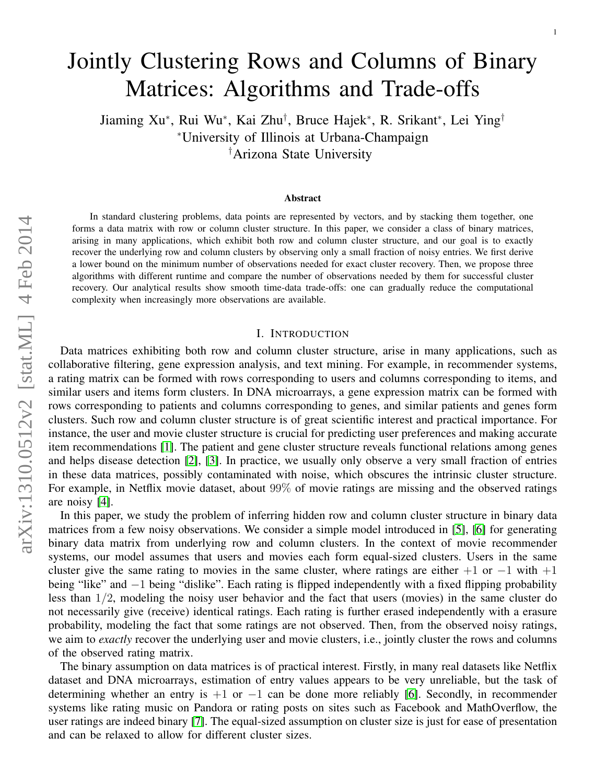# Jointly Clustering Rows and Columns of Binary Matrices: Algorithms and Trade-offs

Jiaming Xu<sup>∗</sup> , Rui Wu<sup>∗</sup> , Kai Zhu† , Bruce Hajek<sup>∗</sup> , R. Srikant<sup>∗</sup> , Lei Ying† <sup>∗</sup>University of Illinois at Urbana-Champaign †Arizona State University

#### Abstract

In standard clustering problems, data points are represented by vectors, and by stacking them together, one forms a data matrix with row or column cluster structure. In this paper, we consider a class of binary matrices, arising in many applications, which exhibit both row and column cluster structure, and our goal is to exactly recover the underlying row and column clusters by observing only a small fraction of noisy entries. We first derive a lower bound on the minimum number of observations needed for exact cluster recovery. Then, we propose three algorithms with different runtime and compare the number of observations needed by them for successful cluster recovery. Our analytical results show smooth time-data trade-offs: one can gradually reduce the computational complexity when increasingly more observations are available.

## I. INTRODUCTION

Data matrices exhibiting both row and column cluster structure, arise in many applications, such as collaborative filtering, gene expression analysis, and text mining. For example, in recommender systems, a rating matrix can be formed with rows corresponding to users and columns corresponding to items, and similar users and items form clusters. In DNA microarrays, a gene expression matrix can be formed with rows corresponding to patients and columns corresponding to genes, and similar patients and genes form clusters. Such row and column cluster structure is of great scientific interest and practical importance. For instance, the user and movie cluster structure is crucial for predicting user preferences and making accurate item recommendations [\[1\]](#page-18-0). The patient and gene cluster structure reveals functional relations among genes and helps disease detection [\[2\]](#page-18-1), [\[3\]](#page-18-2). In practice, we usually only observe a very small fraction of entries in these data matrices, possibly contaminated with noise, which obscures the intrinsic cluster structure. For example, in Netflix movie dataset, about 99% of movie ratings are missing and the observed ratings are noisy [\[4\]](#page-18-3).

In this paper, we study the problem of inferring hidden row and column cluster structure in binary data matrices from a few noisy observations. We consider a simple model introduced in [\[5\]](#page-18-4), [\[6\]](#page-18-5) for generating binary data matrix from underlying row and column clusters. In the context of movie recommender systems, our model assumes that users and movies each form equal-sized clusters. Users in the same cluster give the same rating to movies in the same cluster, where ratings are either  $+1$  or  $-1$  with  $+1$ being "like" and −1 being "dislike". Each rating is flipped independently with a fixed flipping probability less than 1/2, modeling the noisy user behavior and the fact that users (movies) in the same cluster do not necessarily give (receive) identical ratings. Each rating is further erased independently with a erasure probability, modeling the fact that some ratings are not observed. Then, from the observed noisy ratings, we aim to *exactly* recover the underlying user and movie clusters, i.e., jointly cluster the rows and columns of the observed rating matrix.

The binary assumption on data matrices is of practical interest. Firstly, in many real datasets like Netflix dataset and DNA microarrays, estimation of entry values appears to be very unreliable, but the task of determining whether an entry is  $+1$  or  $-1$  can be done more reliably [\[6\]](#page-18-5). Secondly, in recommender systems like rating music on Pandora or rating posts on sites such as Facebook and MathOverflow, the user ratings are indeed binary [\[7\]](#page-18-6). The equal-sized assumption on cluster size is just for ease of presentation and can be relaxed to allow for different cluster sizes.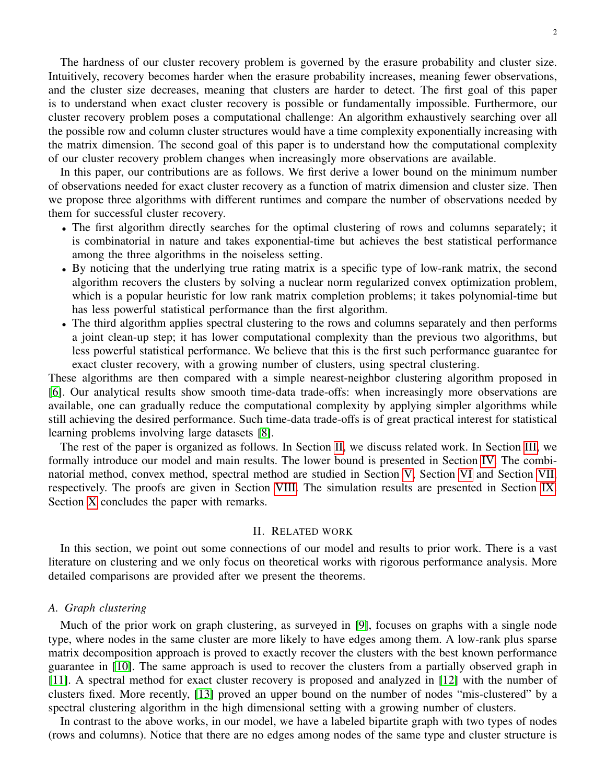The hardness of our cluster recovery problem is governed by the erasure probability and cluster size. Intuitively, recovery becomes harder when the erasure probability increases, meaning fewer observations, and the cluster size decreases, meaning that clusters are harder to detect. The first goal of this paper is to understand when exact cluster recovery is possible or fundamentally impossible. Furthermore, our cluster recovery problem poses a computational challenge: An algorithm exhaustively searching over all the possible row and column cluster structures would have a time complexity exponentially increasing with the matrix dimension. The second goal of this paper is to understand how the computational complexity of our cluster recovery problem changes when increasingly more observations are available.

In this paper, our contributions are as follows. We first derive a lower bound on the minimum number of observations needed for exact cluster recovery as a function of matrix dimension and cluster size. Then we propose three algorithms with different runtimes and compare the number of observations needed by them for successful cluster recovery.

- The first algorithm directly searches for the optimal clustering of rows and columns separately; it is combinatorial in nature and takes exponential-time but achieves the best statistical performance among the three algorithms in the noiseless setting.
- By noticing that the underlying true rating matrix is a specific type of low-rank matrix, the second algorithm recovers the clusters by solving a nuclear norm regularized convex optimization problem, which is a popular heuristic for low rank matrix completion problems; it takes polynomial-time but has less powerful statistical performance than the first algorithm.
- The third algorithm applies spectral clustering to the rows and columns separately and then performs a joint clean-up step; it has lower computational complexity than the previous two algorithms, but less powerful statistical performance. We believe that this is the first such performance guarantee for exact cluster recovery, with a growing number of clusters, using spectral clustering.

These algorithms are then compared with a simple nearest-neighbor clustering algorithm proposed in [\[6\]](#page-18-5). Our analytical results show smooth time-data trade-offs: when increasingly more observations are available, one can gradually reduce the computational complexity by applying simpler algorithms while still achieving the desired performance. Such time-data trade-offs is of great practical interest for statistical learning problems involving large datasets [\[8\]](#page-18-7).

The rest of the paper is organized as follows. In Section [II,](#page-1-0) we discuss related work. In Section [III,](#page-2-0) we formally introduce our model and main results. The lower bound is presented in Section [IV.](#page-5-0) The combinatorial method, convex method, spectral method are studied in Section [V,](#page-5-1) Section [VI](#page-6-0) and Section [VII,](#page-8-0) respectively. The proofs are given in Section [VIII.](#page-9-0) The simulation results are presented in Section [IX.](#page-15-0) Section [X](#page-17-0) concludes the paper with remarks.

#### II. RELATED WORK

<span id="page-1-0"></span>In this section, we point out some connections of our model and results to prior work. There is a vast literature on clustering and we only focus on theoretical works with rigorous performance analysis. More detailed comparisons are provided after we present the theorems.

#### *A. Graph clustering*

Much of the prior work on graph clustering, as surveyed in [\[9\]](#page-18-8), focuses on graphs with a single node type, where nodes in the same cluster are more likely to have edges among them. A low-rank plus sparse matrix decomposition approach is proved to exactly recover the clusters with the best known performance guarantee in [\[10\]](#page-18-9). The same approach is used to recover the clusters from a partially observed graph in [\[11\]](#page-18-10). A spectral method for exact cluster recovery is proposed and analyzed in [\[12\]](#page-18-11) with the number of clusters fixed. More recently, [\[13\]](#page-18-12) proved an upper bound on the number of nodes "mis-clustered" by a spectral clustering algorithm in the high dimensional setting with a growing number of clusters.

In contrast to the above works, in our model, we have a labeled bipartite graph with two types of nodes (rows and columns). Notice that there are no edges among nodes of the same type and cluster structure is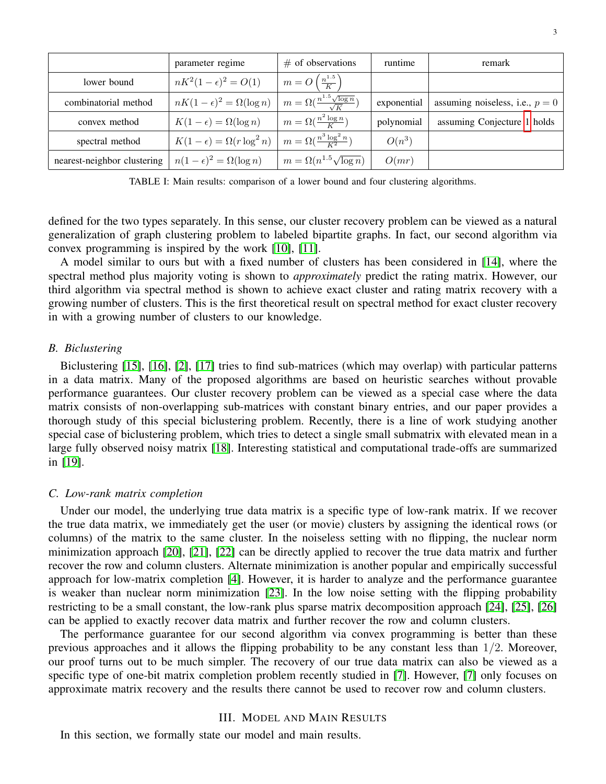<span id="page-2-1"></span>

|                             | parameter regime                     | $#$ of observations                                 | runtime     | remark                            |
|-----------------------------|--------------------------------------|-----------------------------------------------------|-------------|-----------------------------------|
| lower bound                 | $nK^2(1-\epsilon)^2 = O(1)$          | $m = O\left(\frac{n^{1.5}}{K}\right)$               |             |                                   |
| combinatorial method        | $nK(1-\epsilon)^2 = \Omega(\log n)$  | $m = \Omega(\frac{n^{1.5}\sqrt{\log n}}{\sqrt{K}})$ | exponential | assuming noiseless, i.e., $p = 0$ |
| convex method               | $K(1-\epsilon) = \Omega(\log n)$     | $m = \Omega(\frac{n^2 \log n}{\nu})$                | polynomial  | assuming Conjecture 1 holds       |
| spectral method             | $K(1-\epsilon) = \Omega(r \log^2 n)$ | $m = \Omega(\frac{n^3 \log^2 n}{K^2})$              | $O(n^3)$    |                                   |
| nearest-neighbor clustering | $n(1-\epsilon)^2 = \Omega(\log n)$   | $m = \Omega(n^{1.5}\sqrt{\log n})$                  | O(mr)       |                                   |

TABLE I: Main results: comparison of a lower bound and four clustering algorithms.

defined for the two types separately. In this sense, our cluster recovery problem can be viewed as a natural generalization of graph clustering problem to labeled bipartite graphs. In fact, our second algorithm via convex programming is inspired by the work [\[10\]](#page-18-9), [\[11\]](#page-18-10).

A model similar to ours but with a fixed number of clusters has been considered in [\[14\]](#page-18-13), where the spectral method plus majority voting is shown to *approximately* predict the rating matrix. However, our third algorithm via spectral method is shown to achieve exact cluster and rating matrix recovery with a growing number of clusters. This is the first theoretical result on spectral method for exact cluster recovery in with a growing number of clusters to our knowledge.

# *B. Biclustering*

Biclustering [\[15\]](#page-18-14), [\[16\]](#page-18-15), [\[2\]](#page-18-1), [\[17\]](#page-18-16) tries to find sub-matrices (which may overlap) with particular patterns in a data matrix. Many of the proposed algorithms are based on heuristic searches without provable performance guarantees. Our cluster recovery problem can be viewed as a special case where the data matrix consists of non-overlapping sub-matrices with constant binary entries, and our paper provides a thorough study of this special biclustering problem. Recently, there is a line of work studying another special case of biclustering problem, which tries to detect a single small submatrix with elevated mean in a large fully observed noisy matrix [\[18\]](#page-18-17). Interesting statistical and computational trade-offs are summarized in [\[19\]](#page-18-18).

#### *C. Low-rank matrix completion*

Under our model, the underlying true data matrix is a specific type of low-rank matrix. If we recover the true data matrix, we immediately get the user (or movie) clusters by assigning the identical rows (or columns) of the matrix to the same cluster. In the noiseless setting with no flipping, the nuclear norm minimization approach [\[20\]](#page-19-0), [\[21\]](#page-19-1), [\[22\]](#page-19-2) can be directly applied to recover the true data matrix and further recover the row and column clusters. Alternate minimization is another popular and empirically successful approach for low-matrix completion [\[4\]](#page-18-3). However, it is harder to analyze and the performance guarantee is weaker than nuclear norm minimization [\[23\]](#page-19-3). In the low noise setting with the flipping probability restricting to be a small constant, the low-rank plus sparse matrix decomposition approach [\[24\]](#page-19-4), [\[25\]](#page-19-5), [\[26\]](#page-19-6) can be applied to exactly recover data matrix and further recover the row and column clusters.

The performance guarantee for our second algorithm via convex programming is better than these previous approaches and it allows the flipping probability to be any constant less than 1/2. Moreover, our proof turns out to be much simpler. The recovery of our true data matrix can also be viewed as a specific type of one-bit matrix completion problem recently studied in [\[7\]](#page-18-6). However, [\[7\]](#page-18-6) only focuses on approximate matrix recovery and the results there cannot be used to recover row and column clusters.

# III. MODEL AND MAIN RESULTS

<span id="page-2-0"></span>In this section, we formally state our model and main results.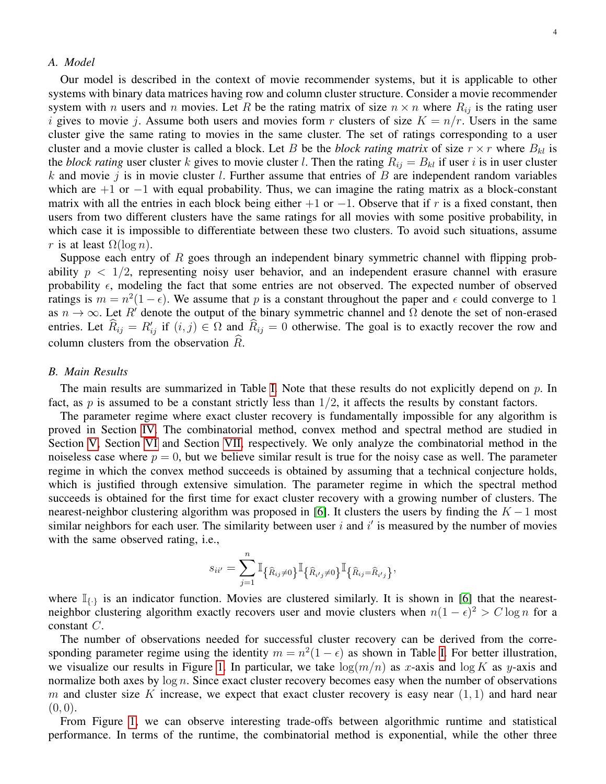#### *A. Model*

Our model is described in the context of movie recommender systems, but it is applicable to other systems with binary data matrices having row and column cluster structure. Consider a movie recommender system with n users and n movies. Let R be the rating matrix of size  $n \times n$  where  $R_{ij}$  is the rating user i gives to movie j. Assume both users and movies form r clusters of size  $K = n/r$ . Users in the same cluster give the same rating to movies in the same cluster. The set of ratings corresponding to a user cluster and a movie cluster is called a block. Let B be the *block rating matrix* of size  $r \times r$  where  $B_{kl}$  is the *block rating* user cluster k gives to movie cluster l. Then the rating  $R_{ij} = B_{kl}$  if user i is in user cluster k and movie j is in movie cluster l. Further assume that entries of  $B$  are independent random variables which are  $+1$  or  $-1$  with equal probability. Thus, we can imagine the rating matrix as a block-constant matrix with all the entries in each block being either  $+1$  or  $-1$ . Observe that if r is a fixed constant, then users from two different clusters have the same ratings for all movies with some positive probability, in which case it is impossible to differentiate between these two clusters. To avoid such situations, assume r is at least  $\Omega(\log n)$ .

Suppose each entry of R goes through an independent binary symmetric channel with flipping probability  $p < 1/2$ , representing noisy user behavior, and an independent erasure channel with erasure probability  $\epsilon$ , modeling the fact that some entries are not observed. The expected number of observed ratings is  $m = n^2(1 - \epsilon)$ . We assume that p is a constant throughout the paper and  $\epsilon$  could converge to 1 as  $n \to \infty$ . Let R' denote the output of the binary symmetric channel and  $\Omega$  denote the set of non-erased entries. Let  $\hat{R}_{ij} = R'_{ij}$  if  $(i, j) \in \Omega$  and  $\hat{R}_{ij} = 0$  otherwise. The goal is to exactly recover the row and column clusters from the observation  $\hat{R}$ .

## *B. Main Results*

The main results are summarized in Table [I.](#page-2-1) Note that these results do not explicitly depend on  $p$ . In fact, as p is assumed to be a constant strictly less than  $1/2$ , it affects the results by constant factors.

The parameter regime where exact cluster recovery is fundamentally impossible for any algorithm is proved in Section [IV.](#page-5-0) The combinatorial method, convex method and spectral method are studied in Section [V,](#page-5-1) Section [VI](#page-6-0) and Section [VII,](#page-8-0) respectively. We only analyze the combinatorial method in the noiseless case where  $p = 0$ , but we believe similar result is true for the noisy case as well. The parameter regime in which the convex method succeeds is obtained by assuming that a technical conjecture holds, which is justified through extensive simulation. The parameter regime in which the spectral method succeeds is obtained for the first time for exact cluster recovery with a growing number of clusters. The nearest-neighbor clustering algorithm was proposed in [\[6\]](#page-18-5). It clusters the users by finding the  $K - 1$  most similar neighbors for each user. The similarity between user  $i$  and  $i'$  is measured by the number of movies with the same observed rating, i.e.,

$$
s_{ii'} = \sum_{j=1}^{n} \mathbb{I}_{\{\hat{R}_{ij}\neq 0\}} \mathbb{I}_{\{\hat{R}_{i'j}\neq 0\}} \mathbb{I}_{\{\hat{R}_{ij}=\hat{R}_{i'j}\}},
$$

where  $\mathbb{I}_{\{\cdot\}}$  is an indicator function. Movies are clustered similarly. It is shown in [\[6\]](#page-18-5) that the nearestneighbor clustering algorithm exactly recovers user and movie clusters when  $n(1 - \epsilon)^2 > C \log n$  for a constant C.

The number of observations needed for successful cluster recovery can be derived from the corresponding parameter regime using the identity  $m = n^2(1 - \epsilon)$  as shown in Table [I.](#page-2-1) For better illustration, we visualize our results in Figure [1.](#page-4-0) In particular, we take  $\log(m/n)$  as x-axis and  $\log K$  as y-axis and normalize both axes by  $\log n$ . Since exact cluster recovery becomes easy when the number of observations m and cluster size K increase, we expect that exact cluster recovery is easy near  $(1, 1)$  and hard near  $(0, 0).$ 

From Figure [1,](#page-4-0) we can observe interesting trade-offs between algorithmic runtime and statistical performance. In terms of the runtime, the combinatorial method is exponential, while the other three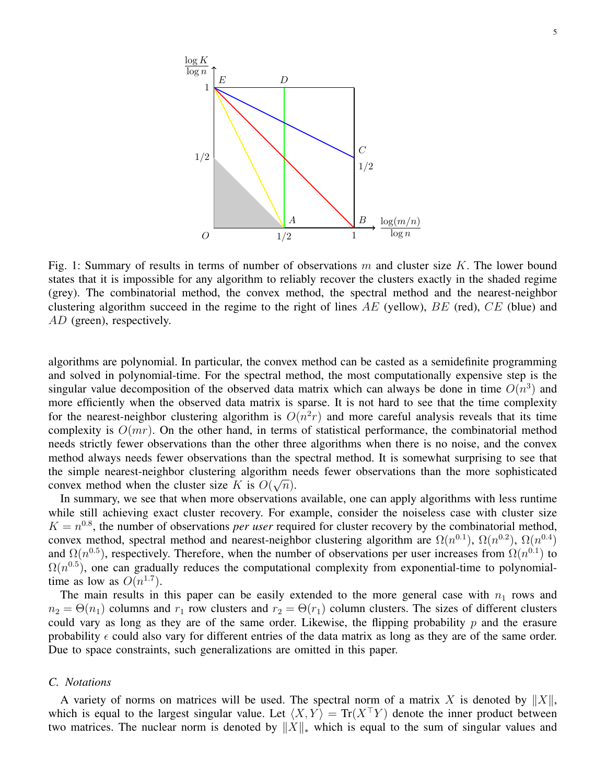<span id="page-4-0"></span>

Fig. 1: Summary of results in terms of number of observations m and cluster size K. The lower bound states that it is impossible for any algorithm to reliably recover the clusters exactly in the shaded regime (grey). The combinatorial method, the convex method, the spectral method and the nearest-neighbor clustering algorithm succeed in the regime to the right of lines  $AE$  (yellow),  $BE$  (red),  $CE$  (blue) and AD (green), respectively.

algorithms are polynomial. In particular, the convex method can be casted as a semidefinite programming and solved in polynomial-time. For the spectral method, the most computationally expensive step is the singular value decomposition of the observed data matrix which can always be done in time  $O(n^3)$  and more efficiently when the observed data matrix is sparse. It is not hard to see that the time complexity for the nearest-neighbor clustering algorithm is  $O(n^2r)$  and more careful analysis reveals that its time complexity is  $O(mr)$ . On the other hand, in terms of statistical performance, the combinatorial method needs strictly fewer observations than the other three algorithms when there is no noise, and the convex method always needs fewer observations than the spectral method. It is somewhat surprising to see that the simple nearest-neighbor clustering algorithm needs fewer observations than the more sophisticated convex method when the cluster size K is  $O(\sqrt{n})$ .

In summary, we see that when more observations available, one can apply algorithms with less runtime while still achieving exact cluster recovery. For example, consider the noiseless case with cluster size  $K = n^{0.8}$ , the number of observations *per user* required for cluster recovery by the combinatorial method, convex method, spectral method and nearest-neighbor clustering algorithm are  $\Omega(n^{0.1})$ ,  $\Omega(n^{0.2})$ ,  $\Omega(n^{0.4})$ and  $\Omega(n^{0.5})$ , respectively. Therefore, when the number of observations per user increases from  $\Omega(n^{0.1})$  to  $\Omega(n^{0.5})$ , one can gradually reduces the computational complexity from exponential-time to polynomialtime as low as  $O(n^{1.7})$ .

The main results in this paper can be easily extended to the more general case with  $n_1$  rows and  $n_2 = \Theta(n_1)$  columns and  $r_1$  row clusters and  $r_2 = \Theta(r_1)$  column clusters. The sizes of different clusters could vary as long as they are of the same order. Likewise, the flipping probability  $p$  and the erasure probability  $\epsilon$  could also vary for different entries of the data matrix as long as they are of the same order. Due to space constraints, such generalizations are omitted in this paper.

#### *C. Notations*

A variety of norms on matrices will be used. The spectral norm of a matrix X is denoted by  $||X||$ , which is equal to the largest singular value. Let  $\langle X, Y \rangle = \text{Tr}(X^{\top}Y)$  denote the inner product between two matrices. The nuclear norm is denoted by  $||X||_*$  which is equal to the sum of singular values and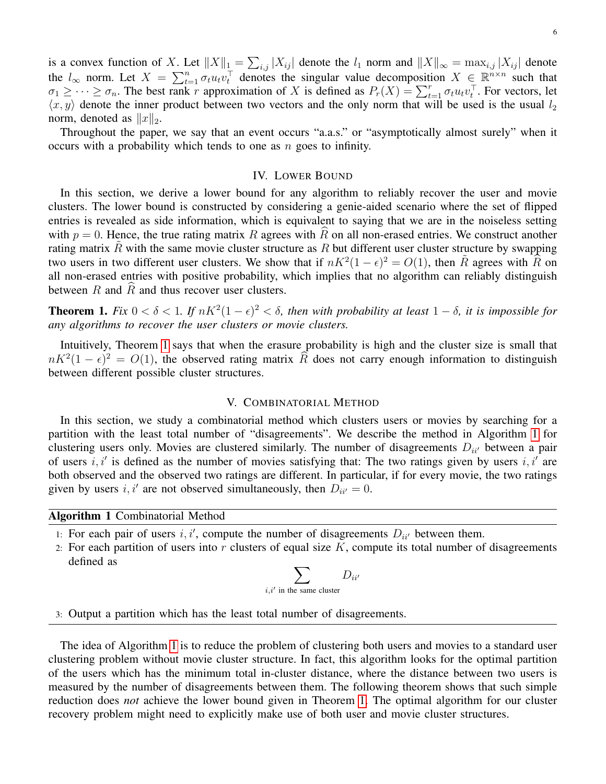is a convex function of X. Let  $||X||_1 = \sum_{i,j} |X_{ij}|$  denote the  $l_1$  norm and  $||X||_{\infty} = \max_{i,j} |X_{ij}|$  denote the  $l_{\infty}$  norm. Let  $X = \sum_{t=1}^{n} \sigma_t u_t v_t^{\top}$  denotes the singular value decomposition  $X \in \mathbb{R}^{n \times n}$  such that  $\sigma_1 \geq \cdots \geq \sigma_n$ . The best rank r approximation of X is defined as  $P_r(X) = \sum_{t=1}^r \sigma_t u_t v_t^{\top}$ . For vectors, let  $\langle x, y \rangle$  denote the inner product between two vectors and the only norm that will be used is the usual  $l_2$ norm, denoted as  $||x||_2$ .

Throughout the paper, we say that an event occurs "a.a.s." or "asymptotically almost surely" when it occurs with a probability which tends to one as  $n$  goes to infinity.

## IV. LOWER BOUND

<span id="page-5-0"></span>In this section, we derive a lower bound for any algorithm to reliably recover the user and movie clusters. The lower bound is constructed by considering a genie-aided scenario where the set of flipped entries is revealed as side information, which is equivalent to saying that we are in the noiseless setting with  $p = 0$ . Hence, the true rating matrix R agrees with R on all non-erased entries. We construct another rating matrix R with the same movie cluster structure as R but different user cluster structure by swapping two users in two different user clusters. We show that if  $nK^2(1-\epsilon)^2 = O(1)$ , then  $\tilde{R}$  agrees with  $\hat{R}$  on all non-erased entries with positive probability, which implies that no algorithm can reliably distinguish between  $R$  and  $R$  and thus recover user clusters.

<span id="page-5-2"></span>**Theorem 1.** *Fix*  $0 < \delta < 1$ . If  $nK^2(1-\epsilon)^2 < \delta$ , then with probability at least  $1-\delta$ , it is impossible for *any algorithms to recover the user clusters or movie clusters.*

Intuitively, Theorem [1](#page-5-2) says that when the erasure probability is high and the cluster size is small that  $nK^2(1-\epsilon)^2 = O(1)$ , the observed rating matrix  $\hat{R}$  does not carry enough information to distinguish between different possible cluster structures.

## V. COMBINATORIAL METHOD

<span id="page-5-1"></span>In this section, we study a combinatorial method which clusters users or movies by searching for a partition with the least total number of "disagreements". We describe the method in Algorithm [1](#page-5-3) for clustering users only. Movies are clustered similarly. The number of disagreements  $D_{ii'}$  between a pair of users  $i, i'$  is defined as the number of movies satisfying that: The two ratings given by users  $i, i'$  are both observed and the observed two ratings are different. In particular, if for every movie, the two ratings given by users i, i' are not observed simultaneously, then  $D_{ii'} = 0$ .

## <span id="page-5-3"></span>Algorithm 1 Combinatorial Method

- 1: For each pair of users i, i', compute the number of disagreements  $D_{ii'}$  between them.
- 2: For each partition of users into  $r$  clusters of equal size  $K$ , compute its total number of disagreements defined as

$$
\sum_{i,i' \text{ in the same cluster}} D_{ii'}
$$

3: Output a partition which has the least total number of disagreements.

The idea of Algorithm [1](#page-5-3) is to reduce the problem of clustering both users and movies to a standard user clustering problem without movie cluster structure. In fact, this algorithm looks for the optimal partition of the users which has the minimum total in-cluster distance, where the distance between two users is measured by the number of disagreements between them. The following theorem shows that such simple reduction does *not* achieve the lower bound given in Theorem [1.](#page-5-2) The optimal algorithm for our cluster recovery problem might need to explicitly make use of both user and movie cluster structures.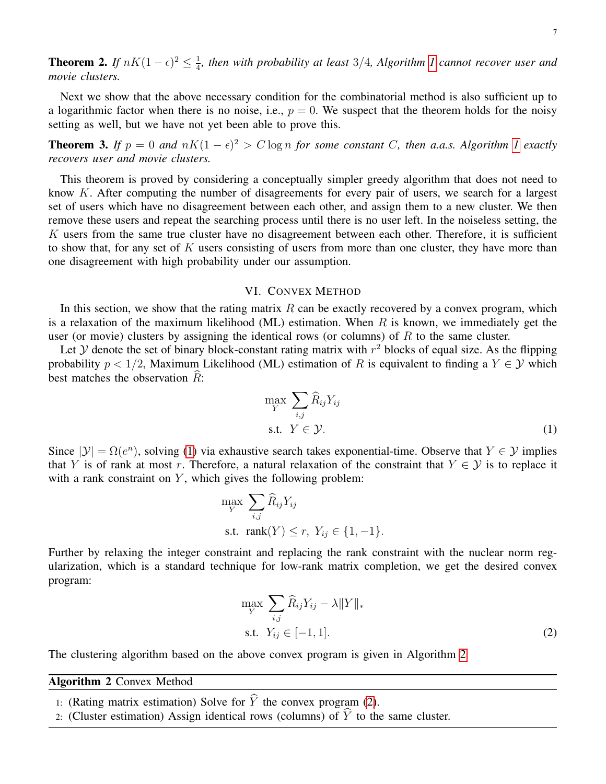<span id="page-6-5"></span>**Theorem 2.** *If*  $nK(1-\epsilon)^2 \leq \frac{1}{4}$  $\frac{1}{4}$ , then with probability at least 3/4, Algorithm [1](#page-5-3) cannot recover user and *movie clusters.*

Next we show that the above necessary condition for the combinatorial method is also sufficient up to a logarithmic factor when there is no noise, i.e.,  $p = 0$ . We suspect that the theorem holds for the noisy setting as well, but we have not yet been able to prove this.

<span id="page-6-4"></span>**Theorem 3.** If  $p = 0$  and  $nK(1 - \epsilon)^2 > C \log n$  for some constant C, then a.a.s. Algorithm [1](#page-5-3) exactly *recovers user and movie clusters.*

This theorem is proved by considering a conceptually simpler greedy algorithm that does not need to know  $K$ . After computing the number of disagreements for every pair of users, we search for a largest set of users which have no disagreement between each other, and assign them to a new cluster. We then remove these users and repeat the searching process until there is no user left. In the noiseless setting, the  $K$  users from the same true cluster have no disagreement between each other. Therefore, it is sufficient to show that, for any set of  $K$  users consisting of users from more than one cluster, they have more than one disagreement with high probability under our assumption.

## VI. CONVEX METHOD

<span id="page-6-0"></span>In this section, we show that the rating matrix  $R$  can be exactly recovered by a convex program, which is a relaxation of the maximum likelihood (ML) estimation. When  $R$  is known, we immediately get the user (or movie) clusters by assigning the identical rows (or columns) of  $R$  to the same cluster.

Let  $Y$  denote the set of binary block-constant rating matrix with  $r^2$  blocks of equal size. As the flipping probability  $p < 1/2$ , Maximum Likelihood (ML) estimation of R is equivalent to finding a  $Y \in \mathcal{Y}$  which best matches the observation  $\widehat{R}$ :

<span id="page-6-1"></span>
$$
\max_{Y} \sum_{i,j} \widehat{R}_{ij} Y_{ij}
$$
  
s.t.  $Y \in \mathcal{Y}$ . (1)

Since  $|\mathcal{Y}| = \Omega(e^n)$ , solving [\(1\)](#page-6-1) via exhaustive search takes exponential-time. Observe that  $Y \in \mathcal{Y}$  implies that Y is of rank at most r. Therefore, a natural relaxation of the constraint that  $Y \in \mathcal{Y}$  is to replace it with a rank constraint on  $Y$ , which gives the following problem:

$$
\max_{Y} \sum_{i,j} \widehat{R}_{ij} Y_{ij}
$$
  
s.t. rank $(Y) \le r$ ,  $Y_{ij} \in \{1, -1\}$ .

Further by relaxing the integer constraint and replacing the rank constraint with the nuclear norm regularization, which is a standard technique for low-rank matrix completion, we get the desired convex program:

<span id="page-6-3"></span>
$$
\max_{Y} \sum_{i,j} \widehat{R}_{ij} Y_{ij} - \lambda ||Y||_*
$$
  
s.t.  $Y_{ij} \in [-1, 1].$  (2)

The clustering algorithm based on the above convex program is given in Algorithm [2](#page-6-2)

<span id="page-6-2"></span>Algorithm 2 Convex Method

- 1: (Rating matrix estimation) Solve for  $\hat{Y}$  the convex program [\(2\)](#page-6-3).
- 2: (Cluster estimation) Assign identical rows (columns) of  $\tilde{Y}$  to the same cluster.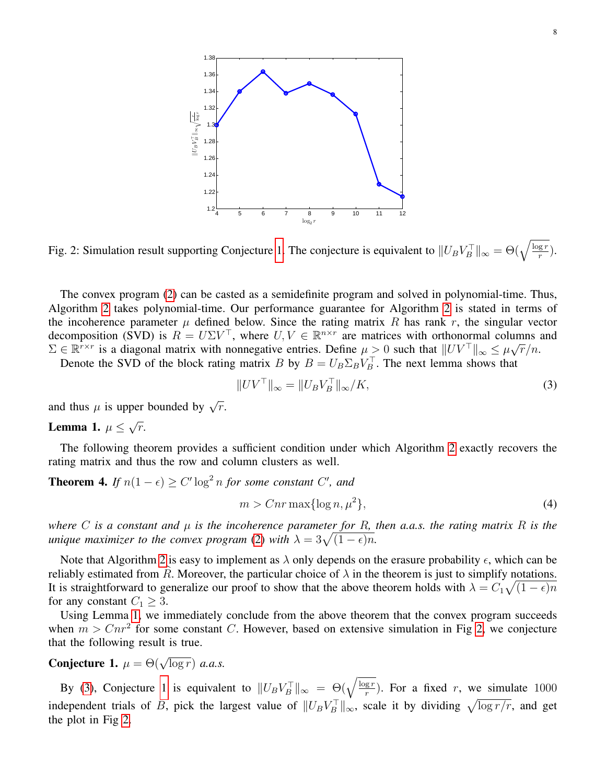<span id="page-7-2"></span>

Fig. 2: Simulation result supporting Conjecture [1.](#page-7-0) The conjecture is equivalent to  $||U_B V_B^{\top}||_{\infty} = \Theta(\sqrt{\frac{\log r}{r}})$ .

The convex program [\(2\)](#page-6-3) can be casted as a semidefinite program and solved in polynomial-time. Thus, Algorithm [2](#page-6-2) takes polynomial-time. Our performance guarantee for Algorithm [2](#page-6-2) is stated in terms of the incoherence parameter  $\mu$  defined below. Since the rating matrix R has rank r, the singular vector decomposition (SVD) is  $R = U\Sigma V^{\top}$ , where  $U, V \in \mathbb{R}^{n \times r}$  are matrices with orthonormal columns and  $\Sigma \in \mathbb{R}^{r \times r}$  is a diagonal matrix with nonnegative entries. Define  $\mu > 0$  such that  $||UV^{\top}||_{\infty} \leq \mu \sqrt{r/n}$ .

Denote the SVD of the block rating matrix B by  $B = U_B \Sigma_B V_B^{\top}$ . The next lemma shows that

<span id="page-7-3"></span>
$$
||UV^{\top}||_{\infty} = ||U_B V_B^{\top}||_{\infty} / K,
$$
\n(3)

and thus  $\mu$  is upper bounded by  $\sqrt{r}$ .

<span id="page-7-1"></span>Lemma 1.  $\mu \leq \sqrt{r}$ .

The following theorem provides a sufficient condition under which Algorithm [2](#page-6-2) exactly recovers the rating matrix and thus the row and column clusters as well.

<span id="page-7-4"></span>**Theorem 4.** If  $n(1 - \epsilon) \ge C' \log^2 n$  for some constant C', and

<span id="page-7-5"></span>
$$
m > Cnr \max\{\log n, \mu^2\},\tag{4}
$$

*where*  $C$  *is a constant and*  $\mu$  *is the incoherence parameter for*  $R$ *, then a.a.s. the rating matrix*  $R$  *is the unique maximizer to the convex program* [\(2\)](#page-6-3) *with*  $\lambda = 3\sqrt{(1 - \epsilon)n}$ .

Note that Algorithm [2](#page-6-2) is easy to implement as  $\lambda$  only depends on the erasure probability  $\epsilon$ , which can be reliably estimated from  $\widehat{R}$ . Moreover, the particular choice of  $\lambda$  in the theorem is just to simplify notations. It is straightforward to generalize our proof to show that the above theorem holds with  $\lambda = C_1 \sqrt{(1 - \epsilon)n}$ for any constant  $C_1 \geq 3$ .

Using Lemma [1,](#page-7-1) we immediately conclude from the above theorem that the convex program succeeds when  $m > Cnr^2$  for some constant C. However, based on extensive simulation in Fig [2,](#page-7-2) we conjecture that the following result is true.

<span id="page-7-0"></span>**Conjecture 1.**  $\mu = \Theta(\sqrt{\log r})$  *a.a.s.* 

By [\(3\)](#page-7-3), Conjecture [1](#page-7-0) is equivalent to  $||U_B V_B^{\top}||_{\infty} = \Theta(\sqrt{\frac{\log r}{r}})$ . For a fixed r, we simulate 1000 independent trials of B, pick the largest value of  $||U_B V_B^\top||_\infty$ , scale it by dividing  $\sqrt{\log r/r}$ , and get the plot in Fig [2.](#page-7-2)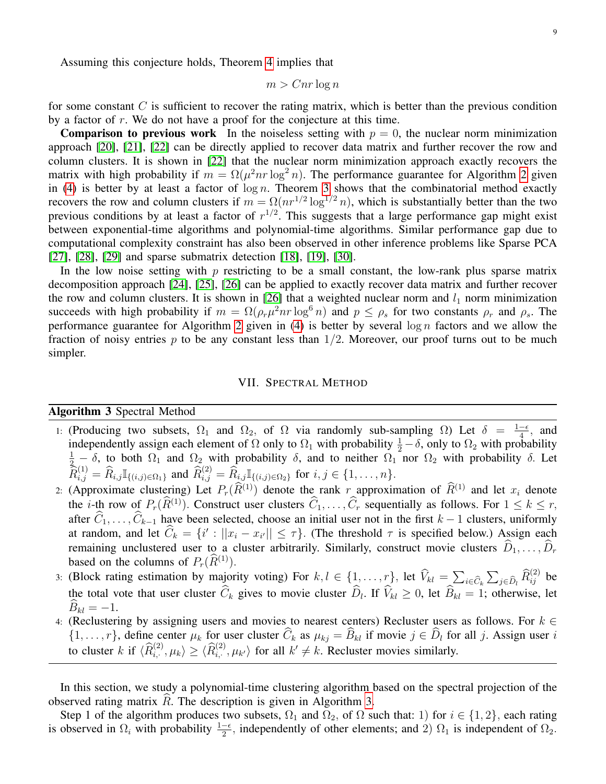Assuming this conjecture holds, Theorem [4](#page-7-4) implies that

$$
m > Cnr \log n
$$

for some constant  $C$  is sufficient to recover the rating matrix, which is better than the previous condition by a factor of  $r$ . We do not have a proof for the conjecture at this time.

**Comparison to previous work** In the noiseless setting with  $p = 0$ , the nuclear norm minimization approach [\[20\]](#page-19-0), [\[21\]](#page-19-1), [\[22\]](#page-19-2) can be directly applied to recover data matrix and further recover the row and column clusters. It is shown in [\[22\]](#page-19-2) that the nuclear norm minimization approach exactly recovers the matrix with high probability if  $m = \Omega(\mu^2 nr \log^2 n)$ . The performance guarantee for Algorithm [2](#page-6-2) given in [\(4\)](#page-7-5) is better by at least a factor of  $log n$ . Theorem [3](#page-6-4) shows that the combinatorial method exactly recovers the row and column clusters if  $m = \Omega(nr^{1/2}\log^{1/2} n)$ , which is substantially better than the two previous conditions by at least a factor of  $r^{1/2}$ . This suggests that a large performance gap might exist between exponential-time algorithms and polynomial-time algorithms. Similar performance gap due to computational complexity constraint has also been observed in other inference problems like Sparse PCA [\[27\]](#page-19-7), [\[28\]](#page-19-8), [\[29\]](#page-19-9) and sparse submatrix detection [\[18\]](#page-18-17), [\[19\]](#page-18-18), [\[30\]](#page-19-10).

In the low noise setting with  $p$  restricting to be a small constant, the low-rank plus sparse matrix decomposition approach [\[24\]](#page-19-4), [\[25\]](#page-19-5), [\[26\]](#page-19-6) can be applied to exactly recover data matrix and further recover the row and column clusters. It is shown in [\[26\]](#page-19-6) that a weighted nuclear norm and  $l_1$  norm minimization succeeds with high probability if  $m = \Omega(\rho_r \mu^2 n r \log^6 n)$  and  $p \le \rho_s$  for two constants  $\rho_r$  and  $\rho_s$ . The performance guarantee for Algorithm [2](#page-6-2) given in [\(4\)](#page-7-5) is better by several  $\log n$  factors and we allow the fraction of noisy entries p to be any constant less than  $1/2$ . Moreover, our proof turns out to be much simpler.

#### VII. SPECTRAL METHOD

## <span id="page-8-1"></span><span id="page-8-0"></span>Algorithm 3 Spectral Method

- 1: (Producing two subsets,  $\Omega_1$  and  $\Omega_2$ , of  $\Omega$  via randomly sub-sampling  $\Omega$ ) Let  $\delta = \frac{1-\epsilon}{4}$ , and independently assign each element of  $\Omega$  only to  $\Omega_1$  with probability  $\frac{1}{2} - \delta$ , only to  $\Omega_2$  with probability  $\frac{1}{2} - \delta$ , only to  $\Omega_2$  with probability  $\delta$ , and to neither  $\Omega_1$  nor  $\Omega_2$  with probability  $\widehat{R}_{i,j}^{(1)} = \widehat{R}_{i,j} \mathbb{I}_{\{(i,j)\in\Omega_1\}}$  and  $\widehat{R}_{i,j}^{(2)} = \widehat{R}_{i,j} \mathbb{I}_{\{(i,j)\in\Omega_2\}}$  for  $i, j \in \{1, \ldots, n\}$ .
- 2: (Approximate clustering) Let  $P_r(\widetilde{R}^{(1)})$  denote the rank r approximation of  $\widehat{R}^{(1)}$  and let  $x_i$  denote the *i*-th row of  $P_r(\widehat{R}^{(1)})$ . Construct user clusters  $\widehat{C}_1, \ldots, \widehat{C}_r$  sequentially as follows. For  $1 \leq k \leq r$ , after  $\widehat{C}_1, \ldots, \widehat{C}_{k-1}$  have been selected, choose an initial user not in the first  $k-1$  clusters, uniformly at random, and let  $\hat{C}_k = \{i' : ||x_i - x_{i'}|| \leq \tau\}$ . (The threshold  $\tau$  is specified below.) Assign each remaining unclustered user to a cluster arbitrarily. Similarly, construct movie clusters  $\hat{D}_1, \ldots, \hat{D}_r$ based on the columns of  $P_r(\hat{R}^{(1)})$ .
- 3: (Block rating estimation by majority voting) For  $k, l \in \{1, ..., r\}$ , let  $\widehat{V}_{kl} = \sum_{k=1}^{r}$  $i \in C_k$  $\sum$  $_{j\in\widehat{D}_{l}}\,\widehat{R}_{ij}^{\left( 2\right) }$  be the total vote that user cluster  $C_k$  gives to movie cluster  $D_l$ . If  $V_{kl} \geq 0$ , let  $B_{kl} = 1$ ; otherwise, let  $B_{kl} = -1.$
- 4: (Reclustering by assigning users and movies to nearest centers) Recluster users as follows. For  $k \in$  $\{1,\ldots,r\}$ , define center  $\mu_k$  for user cluster  $C_k$  as  $\mu_{kj} = B_{kl}$  if movie  $j \in D_l$  for all j. Assign user i to cluster k if  $\langle \widehat{R}_{i,\cdot}^{(2)}, \mu_k \rangle \ge \langle \widehat{R}_{i,\cdot}^{(2)}, \mu_{k'} \rangle$  for all  $k' \ne k$ . Recluster movies similarly.

In this section, we study a polynomial-time clustering algorithm based on the spectral projection of the observed rating matrix  $R$ . The description is given in Algorithm [3.](#page-8-1)

Step 1 of the algorithm produces two subsets,  $\Omega_1$  and  $\Omega_2$ , of  $\Omega$  such that: 1) for  $i \in \{1,2\}$ , each rating is observed in  $\Omega_i$  with probability  $\frac{1-\epsilon}{2}$ , independently of other elements; and 2)  $\Omega_1$  is independent of  $\Omega_2$ .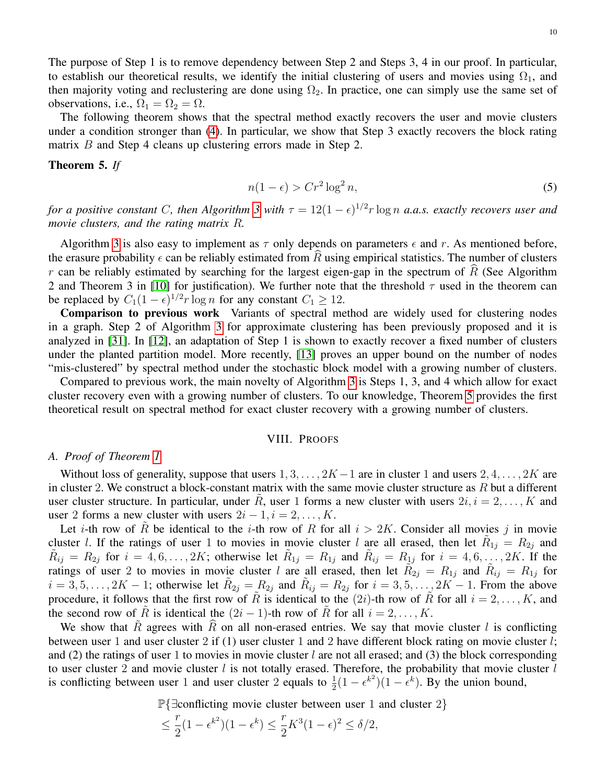The purpose of Step 1 is to remove dependency between Step 2 and Steps 3, 4 in our proof. In particular, to establish our theoretical results, we identify the initial clustering of users and movies using  $\Omega_1$ , and then majority voting and reclustering are done using  $\Omega_2$ . In practice, one can simply use the same set of observations, i.e.,  $\Omega_1 = \Omega_2 = \Omega$ .

The following theorem shows that the spectral method exactly recovers the user and movie clusters under a condition stronger than [\(4\)](#page-7-5). In particular, we show that Step 3 exactly recovers the block rating matrix B and Step 4 cleans up clustering errors made in Step 2.

## <span id="page-9-1"></span>Theorem 5. *If*

<span id="page-9-2"></span>
$$
n(1 - \epsilon) > Cr^2 \log^2 n,\tag{5}
$$

*for a positive constant C*, then Algorithm [3](#page-8-1) with  $\tau = 12(1-\epsilon)^{1/2}r \log n$  *a.a.s. exactly recovers user and movie clusters, and the rating matrix* R*.*

Algorithm [3](#page-8-1) is also easy to implement as  $\tau$  only depends on parameters  $\epsilon$  and r. As mentioned before, the erasure probability  $\epsilon$  can be reliably estimated from R using empirical statistics. The number of clusters  $r$  can be reliably estimated by searching for the largest eigen-gap in the spectrum of  $R$  (See Algorithm 2 and Theorem 3 in [\[10\]](#page-18-9) for justification). We further note that the threshold  $\tau$  used in the theorem can be replaced by  $C_1(1 - \epsilon)^{1/2} r \log n$  for any constant  $C_1 \ge 12$ .

Comparison to previous work Variants of spectral method are widely used for clustering nodes in a graph. Step 2 of Algorithm [3](#page-8-1) for approximate clustering has been previously proposed and it is analyzed in [\[31\]](#page-19-11). In [\[12\]](#page-18-11), an adaptation of Step 1 is shown to exactly recover a fixed number of clusters under the planted partition model. More recently, [\[13\]](#page-18-12) proves an upper bound on the number of nodes "mis-clustered" by spectral method under the stochastic block model with a growing number of clusters.

Compared to previous work, the main novelty of Algorithm [3](#page-8-1) is Steps 1, 3, and 4 which allow for exact cluster recovery even with a growing number of clusters. To our knowledge, Theorem [5](#page-9-1) provides the first theoretical result on spectral method for exact cluster recovery with a growing number of clusters.

#### VIII. PROOFS

## <span id="page-9-0"></span>*A. Proof of Theorem [1](#page-5-2)*

Without loss of generality, suppose that users  $1, 3, \ldots, 2K-1$  are in cluster 1 and users  $2, 4, \ldots, 2K$  are in cluster 2. We construct a block-constant matrix with the same movie cluster structure as  $R$  but a different user cluster structure. In particular, under R, user 1 forms a new cluster with users  $2i, i = 2, \ldots, K$  and user 2 forms a new cluster with users  $2i - 1$ ,  $i = 2, \ldots, K$ .

Let *i*-th row of R be identical to the *i*-th row of R for all  $i > 2K$ . Consider all movies j in movie cluster *l*. If the ratings of user 1 to movies in movie cluster *l* are all erased, then let  $R_{1j} = R_{2j}$  and  $\tilde{R}_{ij} = R_{2j}$  for  $i = 4, 6, \ldots, 2K$ ; otherwise let  $\tilde{R}_{1j} = R_{1j}$  and  $\tilde{R}_{ij} = R_{1j}$  for  $i = 4, 6, \ldots, 2K$ . If the ratings of user 2 to movies in movie cluster l are all erased, then let  $\tilde{R}_{2j} = R_{1j}$  and  $\tilde{R}_{ij} = R_{1j}$  for  $i = 3, 5, \ldots, 2K - 1$ ; otherwise let  $\tilde{R}_{2j} = R_{2j}$  and  $\tilde{R}_{ij} = R_{2j}$  for  $i = 3, 5, \ldots, 2K - 1$ . From the above procedure, it follows that the first row of R is identical to the  $(2i)$ -th row of R for all  $i = 2, ..., K$ , and the second row of R is identical the  $(2i - 1)$ -th row of R for all  $i = 2, ..., K$ .

We show that  $\tilde{R}$  agrees with  $\hat{R}$  on all non-erased entries. We say that movie cluster l is conflicting between user 1 and user cluster 2 if (1) user cluster 1 and 2 have different block rating on movie cluster l; and (2) the ratings of user 1 to movies in movie cluster l are not all erased; and (3) the block corresponding to user cluster 2 and movie cluster  $l$  is not totally erased. Therefore, the probability that movie cluster  $l$ is conflicting between user 1 and user cluster 2 equals to  $\frac{1}{2}(1 - \epsilon^{k^2})(1 - \epsilon^k)$ . By the union bound,

<sup>P</sup>{∃conflicting movie cluster between user <sup>1</sup> and cluster <sup>2</sup>}

$$
\leq \frac{r}{2}(1 - \epsilon^{k^2})(1 - \epsilon^k) \leq \frac{r}{2}K^3(1 - \epsilon)^2 \leq \delta/2,
$$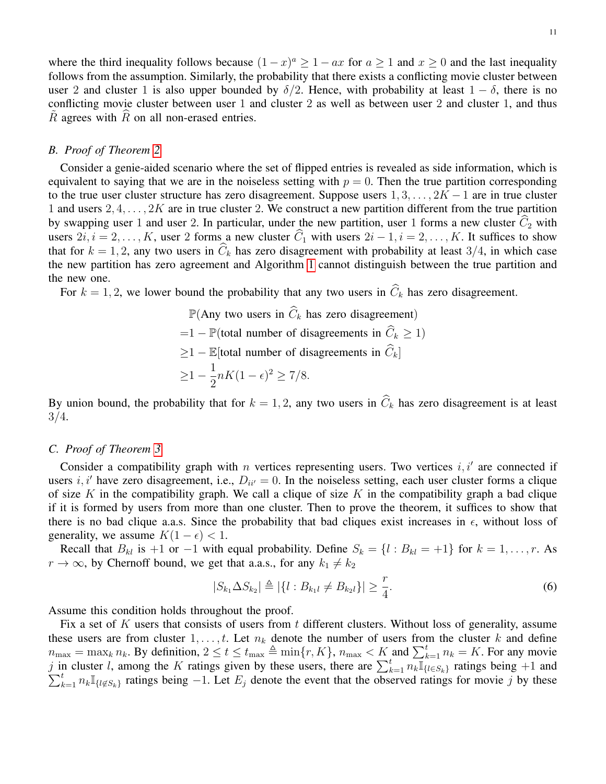where the third inequality follows because  $(1-x)^a \ge 1 - ax$  for  $a \ge 1$  and  $x \ge 0$  and the last inequality follows from the assumption. Similarly, the probability that there exists a conflicting movie cluster between user 2 and cluster 1 is also upper bounded by  $\delta/2$ . Hence, with probability at least  $1 - \delta$ , there is no conflicting movie cluster between user 1 and cluster 2 as well as between user 2 and cluster 1, and thus  $R$  agrees with  $R$  on all non-erased entries.

## *B. Proof of Theorem [2](#page-6-5)*

Consider a genie-aided scenario where the set of flipped entries is revealed as side information, which is equivalent to saying that we are in the noiseless setting with  $p = 0$ . Then the true partition corresponding to the true user cluster structure has zero disagreement. Suppose users  $1, 3, \ldots, 2K - 1$  are in true cluster 1 and users  $2, 4, \ldots, 2K$  are in true cluster 2. We construct a new partition different from the true partition by swapping user 1 and user 2. In particular, under the new partition, user 1 forms a new cluster  $\tilde{C}_2$  with users  $2i, i = 2, \ldots, K$ , user 2 forms a new cluster  $\widehat{C}_1$  with users  $2i - 1, i = 2, \ldots, K$ . It suffices to show that for  $k = 1, 2$ , any two users in  $\hat{C}_k$  has zero disagreement with probability at least 3/4, in which case the new partition has zero agreement and Algorithm [1](#page-5-3) cannot distinguish between the true partition and the new one.

For  $k = 1, 2$ , we lower bound the probability that any two users in  $\hat{C}_k$  has zero disagreement.

$$
\mathbb{P}(\text{Any two users in } \widehat{C}_k \text{ has zero disagreement})
$$
  
=1 -  $\mathbb{P}(\text{total number of disappears in } \widehat{C}_k \ge 1)$   
 $\ge 1 - \mathbb{E}[\text{total number of disappears in } \widehat{C}_k]$   
 $\ge 1 - \frac{1}{2}nK(1 - \epsilon)^2 \ge 7/8.$ 

By union bound, the probability that for  $k = 1, 2$ , any two users in  $\hat{C}_k$  has zero disagreement is at least 3/4.

## *C. Proof of Theorem [3](#page-6-4)*

Consider a compatibility graph with *n* vertices representing users. Two vertices  $i, i'$  are connected if users i, i' have zero disagreement, i.e.,  $D_{ii'} = 0$ . In the noiseless setting, each user cluster forms a clique of size K in the compatibility graph. We call a clique of size K in the compatibility graph a bad clique if it is formed by users from more than one cluster. Then to prove the theorem, it suffices to show that there is no bad clique a.a.s. Since the probability that bad cliques exist increases in  $\epsilon$ , without loss of generality, we assume  $K(1 - \epsilon) < 1$ .

Recall that  $B_{kl}$  is +1 or −1 with equal probability. Define  $S_k = \{l : B_{kl} = +1\}$  for  $k = 1, \ldots, r$ . As  $r \to \infty$ , by Chernoff bound, we get that a.a.s., for any  $k_1 \neq k_2$ 

<span id="page-10-0"></span>
$$
|S_{k_1} \Delta S_{k_2}| \triangleq |\{l : B_{k_1l} \neq B_{k_2l}\}| \geq \frac{r}{4}.
$$
 (6)

Assume this condition holds throughout the proof.

Fix a set of K users that consists of users from t different clusters. Without loss of generality, assume these users are from cluster  $1, \ldots, t$ . Let  $n_k$  denote the number of users from the cluster k and define  $n_{\max} = \max_k n_k$ . By definition,  $2 \le t \le t_{\max} \triangleq \min\{r, K\}$ ,  $n_{\max} < K$  and  $\sum_{k=1}^t n_k = K$ . For any movie j in cluster l, among the K ratings given by these users, there are  $\sum_{k=1}^{t} n_k \overline{I_{\{l \in S_k\}}}$  ratings being +1 and  $\sum_{k=1}^t n_k \mathbb{I}_{\{\ell \notin S_k\}}$  ratings being  $-1$ . Let  $E_j$  denote the event that the observed ratings for movie j by these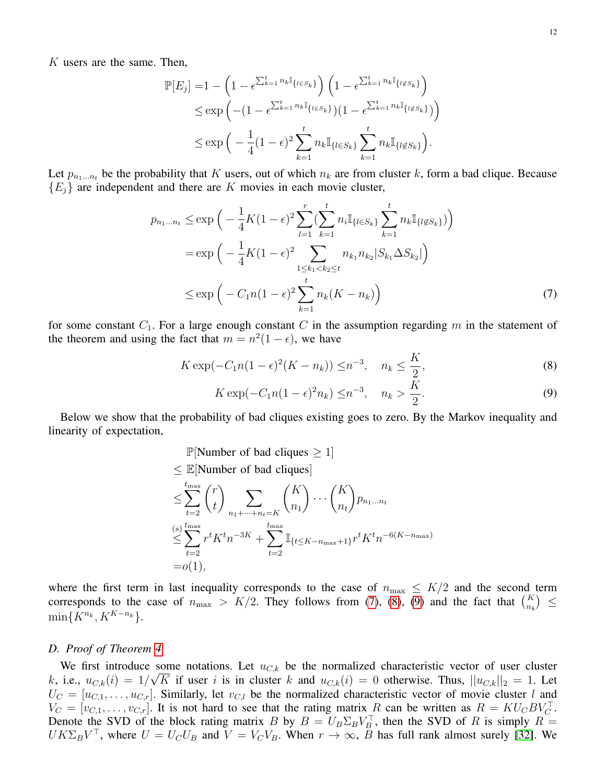K users are the same. Then,

$$
\mathbb{P}[E_j] = 1 - \left(1 - \epsilon^{\sum_{k=1}^t n_k \mathbb{I}_{\{\ell \in S_k\}}}\right) \left(1 - \epsilon^{\sum_{k=1}^t n_k \mathbb{I}_{\{\ell \notin S_k\}}}\right)
$$
  
\n
$$
\leq \exp\left(-(1 - \epsilon^{\sum_{k=1}^t n_k \mathbb{I}_{\{\ell \in S_k\}}}\right) \left(1 - \epsilon^{\sum_{k=1}^t n_k \mathbb{I}_{\{\ell \notin S_k\}}}\right)\right)
$$
  
\n
$$
\leq \exp\left(-\frac{1}{4}(1 - \epsilon)^2 \sum_{k=1}^t n_k \mathbb{I}_{\{\ell \in S_k\}} \sum_{k=1}^t n_k \mathbb{I}_{\{\ell \notin S_k\}}\right).
$$

Let  $p_{n_1...n_t}$  be the probability that K users, out of which  $n_k$  are from cluster k, form a bad clique. Because  ${E<sub>i</sub>}$  are independent and there are K movies in each movie cluster,

$$
p_{n_1...n_t} \le \exp\left(-\frac{1}{4}K(1-\epsilon)^2\sum_{l=1}^r \left(\sum_{k=1}^t n_i \mathbb{I}_{\{l \in S_k\}} \sum_{k=1}^t n_k \mathbb{I}_{\{l \notin S_k\}}\right)\right)
$$
  
=  $\exp\left(-\frac{1}{4}K(1-\epsilon)^2 \sum_{1 \le k_1 < k_2 \le t} n_{k_1} n_{k_2} |S_{k_1} \Delta S_{k_2}|\right)$   
 $\le \exp\left(-C_1 n(1-\epsilon)^2 \sum_{k=1}^t n_k (K - n_k)\right)$  (7)

for some constant  $C_1$ . For a large enough constant C in the assumption regarding m in the statement of the theorem and using the fact that  $m = n^2(1 - \epsilon)$ , we have

$$
K \exp(-C_1 n(1 - \epsilon)^2 (K - n_k)) \le n^{-3}, \quad n_k \le \frac{K}{2},
$$
\n(8)

<span id="page-11-2"></span><span id="page-11-1"></span><span id="page-11-0"></span>
$$
K \exp(-C_1 n(1 - \epsilon)^2 n_k) \le n^{-3}, \quad n_k > \frac{K}{2}.
$$
 (9)

Below we show that the probability of bad cliques existing goes to zero. By the Markov inequality and linearity of expectation,

$$
\mathbb{P}[\text{Number of bad cliques} \ge 1]
$$
\n
$$
\le \mathbb{E}[\text{Number of bad cliques}]
$$
\n
$$
\le \sum_{t=2}^{t_{\text{max}}} {r \choose t} \sum_{n_1 + \dots + n_t = K} {K \choose n_1} \cdots {K \choose n_t} p_{n_1 \dots n_t}
$$
\n
$$
\le \sum_{t=2}^{t_{\text{max}}} r^t K^t n^{-3K} + \sum_{t=2}^{t_{\text{max}}} \mathbb{I}_{\{t \le K - n_{\text{max}} + 1\}} r^t K^t n^{-6(K - n_{\text{max}})}
$$
\n
$$
= o(1),
$$

where the first term in last inequality corresponds to the case of  $n_{\text{max}} \leq K/2$  and the second term corresponds to the case of  $n_{\text{max}} > K/2$ . They follows from [\(7\)](#page-11-0), [\(8\)](#page-11-1), [\(9\)](#page-11-2) and the fact that  $\binom{K}{n_k} \le$  $\min\{K^{n_k}, K^{K-n_k}\}.$ 

#### *D. Proof of Theorem [4](#page-7-4)*

We first introduce some notations. Let  $u_{C,k}$  be the normalized characteristic vector of user cluster k, i.e.,  $u_{C,k}(i) = 1/\sqrt{K}$  if user i is in cluster k and  $u_{C,k}(i) = 0$  otherwise. Thus,  $||u_{C,k}||_2 = 1$ . Let  $U_C = [u_{C,1}, \ldots, u_{C,r}]$ . Similarly, let  $v_{C,l}$  be the normalized characteristic vector of movie cluster l and  $V_C = [v_{C,1}, \ldots, v_{C,r}]$ . It is not hard to see that the rating matrix R can be written as  $R = K U_C B V_C^{\top}$ . Denote the SVD of the block rating matrix B by  $B = U_B \Sigma_B V_B^{\top}$ , then the SVD of R is simply  $R =$  $UK \Sigma_B V^{\top}$ , where  $U = U_C U_B$  and  $V = V_C V_B$ . When  $r \to \infty$ , B has full rank almost surely [\[32\]](#page-19-12). We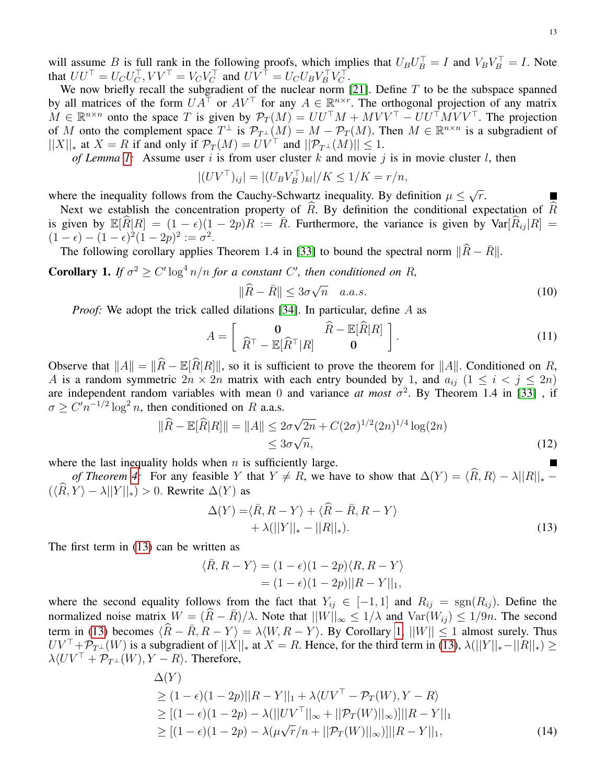We now briefly recall the subgradient of the nuclear norm [\[21\]](#page-19-1). Define  $T$  to be the subspace spanned by all matrices of the form  $UA^{\top}$  or  $AV^{\top}$  for any  $A \in \mathbb{R}^{n \times r}$ . The orthogonal projection of any matrix  $M \in \mathbb{R}^{n \times n}$  onto the space T is given by  $\mathcal{P}_T(M) = U U^\top M + M V V^\top - U U^\top M V V^\top$ . The projection of M onto the complement space  $T^{\perp}$  is  $\mathcal{P}_{T^{\perp}}(M) = M - \mathcal{P}_T(M)$ . Then  $M \in \mathbb{R}^{n \times n}$  is a subgradient of  $||X||_*$  at  $X = R$  if and only if  $\mathcal{P}_T(M) = \overline{U}V^{\dagger}$  and  $||\mathcal{P}_{T^{\perp}}(M)|| \leq 1$ .

*of Lemma [1:](#page-7-1)* Assume user i is from user cluster k and movie j is in movie cluster l, then

$$
|(UV^{\top})_{ij}| = |(U_B V_B^{\top})_{kl}|/K \le 1/K = r/n,
$$

where the inequality follows from the Cauchy-Schwartz inequality. By definition  $\mu \leq \sqrt{r}$ .

Next we establish the concentration property of  $\overline{R}$ . By definition the conditional expectation of  $\overline{R}$ is given by  $\mathbb{E}[R|R] = (1 - \epsilon)(1 - 2p)R := \overline{R}$ . Furthermore, the variance is given by  $\text{Var}[R_{ij}|R] =$  $(1 - \epsilon) - (1 - \epsilon)^2 (1 - 2p)^2 := \sigma^2.$ 

The following corollary applies Theorem 1.4 in [\[33\]](#page-19-13) to bound the spectral norm  $\|\hat{R} - \bar{R}\|$ .

<span id="page-12-1"></span>**Corollary 1.** If  $\sigma^2 \ge C' \log^4 n/n$  for a constant C', then conditioned on R,

$$
\|\widehat{R} - \bar{R}\| \le 3\sigma\sqrt{n} \quad a.a.s.
$$
\n(10)

*Proof:* We adopt the trick called dilations [\[34\]](#page-19-14). In particular, define A as

$$
A = \left[ \begin{array}{cc} \mathbf{0} & \widehat{R} - \mathbb{E}[\widehat{R}|R] \\ \widehat{R}^\top - \mathbb{E}[\widehat{R}^\top|R] & \mathbf{0} \end{array} \right]. \tag{11}
$$

Observe that  $||A|| = ||\hat{R} - \mathbb{E}[\hat{R}|R]||$ , so it is sufficient to prove the theorem for  $||A||$ . Conditioned on R, A is a random symmetric  $2n \times 2n$  matrix with each entry bounded by 1, and  $a_{ij}$   $(1 \le i \le j \le 2n)$ are independent random variables with mean 0 and variance *at most*  $\sigma^2$ . By Theorem 1.4 in [\[33\]](#page-19-13), if  $\sigma \ge C' n^{-1/2} \log^2 n$ , then conditioned on R a.a.s.

$$
\|\widehat{R} - \mathbb{E}[\widehat{R}|R]\| = \|A\| \le 2\sigma\sqrt{2n} + C(2\sigma)^{1/2}(2n)^{1/4}\log(2n) \le 3\sigma\sqrt{n},\tag{12}
$$

where the last inequality holds when  $n$  is sufficiently large.

*of Theorem [4:](#page-7-4)* For any feasible Y that  $Y \neq R$ , we have to show that  $\Delta(Y) = \langle \widehat{R}, R \rangle - \lambda ||R||_*$  –  $(\langle \widehat{R}, Y \rangle - \lambda ||Y||_*) > 0$ . Rewrite  $\Delta(Y)$  as

<span id="page-12-0"></span>
$$
\Delta(Y) = \langle \bar{R}, R - Y \rangle + \langle \hat{R} - \bar{R}, R - Y \rangle + \lambda (||Y||_* - ||R||_*). \tag{13}
$$

The first term in [\(13\)](#page-12-0) can be written as

<span id="page-12-2"></span>
$$
\langle \bar{R}, R - Y \rangle = (1 - \epsilon)(1 - 2p)\langle R, R - Y \rangle
$$
  
= 
$$
(1 - \epsilon)(1 - 2p)||R - Y||_1,
$$

where the second equality follows from the fact that  $Y_{ij} \in [-1,1]$  and  $R_{ij} = \text{sgn}(R_{ij})$ . Define the normalized noise matrix  $W = (\hat{R} - \bar{R})/\lambda$ . Note that  $||W||_{\infty} \le 1/\lambda$  and  $Var(W_{ij}) \le 1/9n$ . The second term in [\(13\)](#page-12-0) becomes  $\langle \hat{R} - \bar{R}, R - Y \rangle = \lambda \langle W, R - Y \rangle$ . By Corollary [1,](#page-12-1)  $||W|| \le 1$  almost surely. Thus  $UV^{\top} + \mathcal{P}_{T^{\perp}}(W)$  is a subgradient of  $||X||_{*}$  at  $X = R$ . Hence, for the third term in [\(13\)](#page-12-0),  $\lambda(||Y||_{*} - ||R||_{*}) \ge$  $\lambda \langle UV^{\top} + \mathcal{P}_{T^{\perp}}(W), Y - R \rangle$ . Therefore,

$$
\Delta(Y)
$$
  
\n
$$
\geq (1 - \epsilon)(1 - 2p)||R - Y||_1 + \lambda \langle UV^{\top} - \mathcal{P}_T(W), Y - R \rangle
$$
  
\n
$$
\geq [(1 - \epsilon)(1 - 2p) - \lambda (||UV^{\top}||_{\infty} + ||\mathcal{P}_T(W)||_{\infty})]||R - Y||_1
$$
  
\n
$$
\geq [(1 - \epsilon)(1 - 2p) - \lambda(\mu\sqrt{r}/n + ||\mathcal{P}_T(W)||_{\infty})]||R - Y||_1,
$$
\n(14)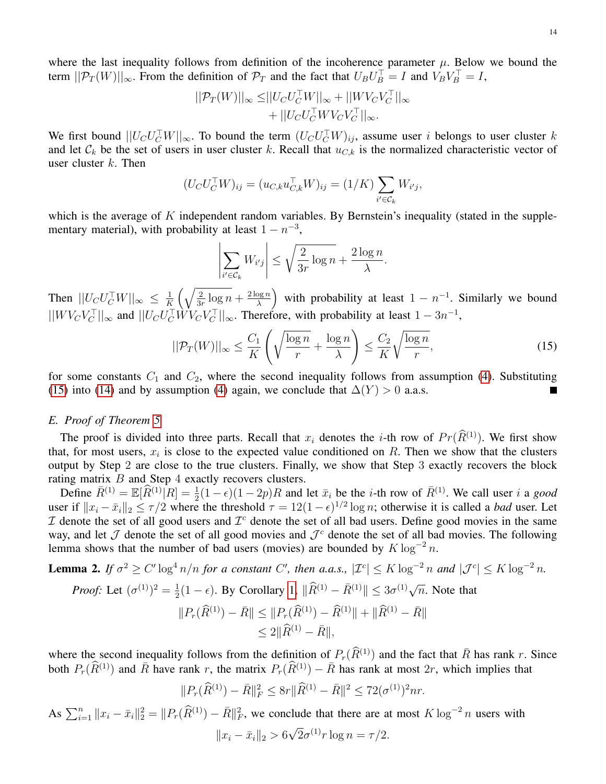where the last inequality follows from definition of the incoherence parameter  $\mu$ . Below we bound the term  $||\mathcal{P}_T(W)||_{\infty}$ . From the definition of  $\mathcal{P}_T$  and the fact that  $U_B U_B^{\top} = I$  and  $V_B V_B^{\top} = I$ ,

$$
||\mathcal{P}_T(W)||_{\infty} \leq ||U_C U_C^\top W||_{\infty} + ||W V_C V_C^\top||_{\infty} + ||U_C U_C^\top W V_C V_C^\top||_{\infty}.
$$

We first bound  $||U_C U_C^{\top} W||_{\infty}$ . To bound the term  $(U_C U_C^{\top} W)_{ij}$ , assume user i belongs to user cluster k and let  $\mathcal{C}_k$  be the set of users in user cluster k. Recall that  $u_{C,k}$  is the normalized characteristic vector of user cluster  $k$ . Then

$$
(U_C U_C^\top W)_{ij} = (u_{C,k} u_{C,k}^\top W)_{ij} = (1/K) \sum_{i' \in C_k} W_{i'j},
$$

which is the average of K independent random variables. By Bernstein's inequality (stated in the supplementary material), with probability at least  $1 - n^{-3}$ ,

<span id="page-13-0"></span>
$$
\left|\sum_{i' \in \mathcal{C}_k} W_{i'j}\right| \le \sqrt{\frac{2}{3r} \log n} + \frac{2 \log n}{\lambda}.
$$

Then  $||U_C U_C^\top W||_{\infty} \le \frac{1}{K}$ K  $\sqrt{2}$  $rac{2}{3r} \log n + \frac{2 \log n}{\lambda}$ λ ) with probability at least  $1 - n^{-1}$ . Similarly we bound  $||W V_C V_C^{\top}||_{\infty}$  and  $||U_C U_C^{\top} \dot{W} V_C V_C^{\top}||_{\infty}$ . Therefore, with probability at least  $1 - 3n^{-1}$ ,

$$
||\mathcal{P}_T(W)||_{\infty} \le \frac{C_1}{K} \left( \sqrt{\frac{\log n}{r}} + \frac{\log n}{\lambda} \right) \le \frac{C_2}{K} \sqrt{\frac{\log n}{r}},\tag{15}
$$

for some constants  $C_1$  and  $C_2$ , where the second inequality follows from assumption [\(4\)](#page-7-5). Substituting [\(15\)](#page-13-0) into [\(14\)](#page-12-2) and by assumption [\(4\)](#page-7-5) again, we conclude that  $\Delta(Y) > 0$  a.a.s.

## *E. Proof of Theorem [5](#page-9-1)*

The proof is divided into three parts. Recall that  $x_i$  denotes the *i*-th row of  $Pr(\widehat{R}^{(1)})$ . We first show that, for most users,  $x_i$  is close to the expected value conditioned on R. Then we show that the clusters output by Step 2 are close to the true clusters. Finally, we show that Step 3 exactly recovers the block rating matrix  $B$  and Step 4 exactly recovers clusters.

Define  $\bar{R}^{(1)} = \mathbb{E}[\widehat{R}^{(1)}|R] = \frac{1}{2}(1 - \epsilon)(1 - 2p)R$  and let  $\bar{x}_i$  be the *i*-th row of  $\bar{R}^{(1)}$ . We call user *i* a *good* user if  $||x_i - \bar{x}_i||_2 \le \tau/2$  where the threshold  $\tau = 12(1 - \epsilon)^{1/2} \log n$ ; otherwise it is called a *bad* user. Let  $I$  denote the set of all good users and  $I^c$  denote the set of all bad users. Define good movies in the same way, and let  $\mathcal J$  denote the set of all good movies and  $\mathcal J^c$  denote the set of all bad movies. The following lemma shows that the number of bad users (movies) are bounded by  $K \log^{-2} n$ .

<span id="page-13-1"></span>**Lemma 2.** If 
$$
\sigma^2 \ge C' \log^4 n/n
$$
 for a constant C', then a.a.s.,  $|\mathcal{I}^c| \le K \log^{-2} n$  and  $|\mathcal{J}^c| \le K \log^{-2} n$ .  
\n*Proof:* Let  $(\sigma^{(1)})^2 = \frac{1}{2}(1 - \epsilon)$ . By Corollary 1,  $\|\hat{R}^{(1)} - \bar{R}^{(1)}\| \le 3\sigma^{(1)}\sqrt{n}$ . Note that  
\n $\|P_r(\hat{R}^{(1)}) - \bar{R}\| \le \|P_r(\hat{R}^{(1)}) - \hat{R}^{(1)}\| + \|\hat{R}^{(1)} - \bar{R}\|$   
\n $\le 2\|\hat{R}^{(1)} - \bar{R}\|$ ,

where the second inequality follows from the definition of  $P_r(\widehat{R}^{(1)})$  and the fact that  $\overline{R}$  has rank r. Since both  $P_r(\widehat{R}^{(1)})$  and  $\overline{R}$  have rank r, the matrix  $P_r(\widehat{R}^{(1)}) - \overline{R}$  has rank at most 2r, which implies that

$$
||P_r(\widehat{R}^{(1)}) - \bar{R}||_F^2 \le 8r||\widehat{R}^{(1)} - \bar{R}||^2 \le 72(\sigma^{(1)})^2 nr.
$$

As  $\sum_{i=1}^n ||x_i - \bar{x}_i||_2^2 = ||P_r(\widehat{R}^{(1)}) - \bar{R}||_F^2$ , we conclude that there are at most  $K \log^{-2} n$  users with  $||x_i - \bar{x}_i||_2 > 6\sqrt{2}\sigma^{(1)}r \log n = \tau/2.$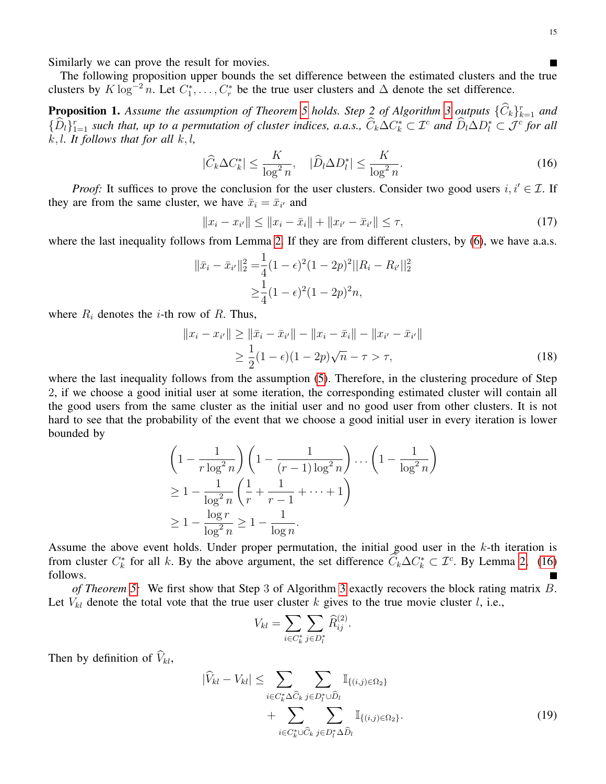Similarly we can prove the result for movies.

The following proposition upper bounds the set difference between the estimated clusters and the true clusters by  $K \log^{-2} n$ . Let  $C_1^*, \ldots, C_r^*$  be the true user clusters and  $\Delta$  denote the set difference.

<span id="page-14-2"></span>**Proposition 1.** Assume the assumption of Theorem [5](#page-9-1) holds. Step 2 of Algorithm [3](#page-8-1) outputs  $\{C_k\}_{k=1}^r$  and  $\{\widehat{D}_l\}_{l=1}^r$  such that, up to a permutation of cluster indices, a.a.s.,  $\widehat{C}_k\Delta C_k^*\subset\mathcal{I}^c$  and  $\widehat{D}_l\Delta D_l^*\subset\mathcal{J}^c$  for all k, l*. It follows that for all* k, l*,*

<span id="page-14-0"></span>
$$
|\widehat{C}_k \Delta C_k^*| \le \frac{K}{\log^2 n}, \quad |\widehat{D}_l \Delta D_l^*| \le \frac{K}{\log^2 n}.
$$
\n(16)

*Proof:* It suffices to prove the conclusion for the user clusters. Consider two good users  $i, i' \in \mathcal{I}$ . If they are from the same cluster, we have  $\bar{x}_i = \bar{x}_{i'}$  and

$$
||x_i - x_{i'}|| \le ||x_i - \bar{x}_i|| + ||x_{i'} - \bar{x}_{i'}|| \le \tau,
$$
\n(17)

where the last inequality follows from Lemma [2.](#page-13-1) If they are from different clusters, by [\(6\)](#page-10-0), we have a.a.s.

$$
\|\bar{x}_i - \bar{x}_{i'}\|_2^2 = \frac{1}{4}(1 - \epsilon)^2 (1 - 2p)^2 ||R_i - R_{i'}||_2^2
$$
  
 
$$
\geq \frac{1}{4}(1 - \epsilon)^2 (1 - 2p)^2 n,
$$

where  $R_i$  denotes the *i*-th row of R. Thus,

$$
||x_i - x_{i'}|| \ge ||\bar{x}_i - \bar{x}_{i'}|| - ||x_i - \bar{x}_i|| - ||x_{i'} - \bar{x}_{i'}||
$$
  
\n
$$
\ge \frac{1}{2}(1 - \epsilon)(1 - 2p)\sqrt{n} - \tau > \tau,
$$
\n(18)

where the last inequality follows from the assumption [\(5\)](#page-9-2). Therefore, in the clustering procedure of Step 2, if we choose a good initial user at some iteration, the corresponding estimated cluster will contain all the good users from the same cluster as the initial user and no good user from other clusters. It is not hard to see that the probability of the event that we choose a good initial user in every iteration is lower bounded by

$$
\left(1 - \frac{1}{r \log^2 n}\right) \left(1 - \frac{1}{(r-1) \log^2 n}\right) \cdots \left(1 - \frac{1}{\log^2 n}\right)
$$
  
\n
$$
\geq 1 - \frac{1}{\log^2 n} \left(\frac{1}{r} + \frac{1}{r-1} + \cdots + 1\right)
$$
  
\n
$$
\geq 1 - \frac{\log r}{\log^2 n} \geq 1 - \frac{1}{\log n}.
$$

Assume the above event holds. Under proper permutation, the initial good user in the  $k$ -th iteration is from cluster  $C_k^*$  for all k. By the above argument, the set difference  $\hat{C}_k \Delta C_k^* \subset \mathcal{I}^c$ . By Lemma [2,](#page-13-1) [\(16\)](#page-14-0) follows. **The State** 

*of Theorem [5:](#page-9-1)* We first show that Step 3 of Algorithm [3](#page-8-1) exactly recovers the block rating matrix B. Let  $V_{kl}$  denote the total vote that the true user cluster k gives to the true movie cluster l, i.e.,

<span id="page-14-1"></span>
$$
V_{kl} = \sum_{i \in C_k^*} \sum_{j \in D_l^*} \widehat{R}_{ij}^{(2)}.
$$

Then by definition of  $\widehat{V}_{kl}$ ,

$$
|\widehat{V}_{kl} - V_{kl}| \leq \sum_{i \in C_k^* \Delta \widehat{C}_k} \sum_{j \in D_l^* \cup \widehat{D}_l} \mathbb{I}_{\{(i,j)\in \Omega_2\}} + \sum_{i \in C_k^* \cup \widehat{C}_k} \sum_{j \in D_l^* \Delta \widehat{D}_l} \mathbb{I}_{\{(i,j)\in \Omega_2\}}.
$$
\n(19)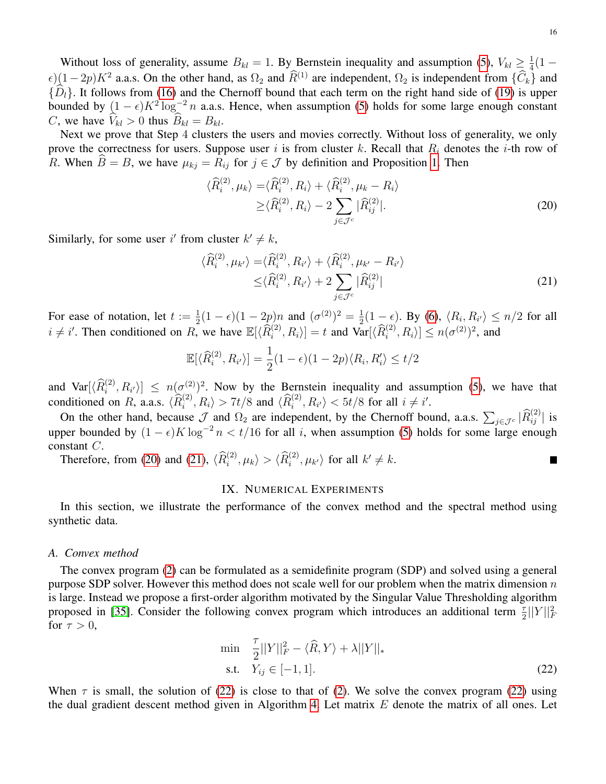Without loss of generality, assume  $B_{kl} = 1$ . By Bernstein inequality and assumption [\(5\)](#page-9-2),  $V_{kl} \ge \frac{1}{4}$  $rac{1}{4}(1 \epsilon$ )(1–2p) $K^2$  a.a.s. On the other hand, as  $\Omega_2$  and  $\hat{R}^{(1)}$  are independent,  $\Omega_2$  is independent from  $\{\hat{C}_k\}$  and  $\{\widehat{D}_l\}$ . It follows from [\(16\)](#page-14-0) and the Chernoff bound that each term on the right hand side of [\(19\)](#page-14-1) is upper bounded by  $(1 - \epsilon)K^2 \log_2^{-2} n$  a.a.s. Hence, when assumption [\(5\)](#page-9-2) holds for some large enough constant C, we have  $\widehat{V}_{kl} > 0$  thus  $\widehat{B}_{kl} = B_{kl}$ .

Next we prove that Step 4 clusters the users and movies correctly. Without loss of generality, we only prove the correctness for users. Suppose user i is from cluster k. Recall that  $R_i$  denotes the i-th row of R. When  $\widehat{B} = B$ , we have  $\mu_{kj} = \widehat{R}_{ij}$  for  $j \in \mathcal{J}$  by definition and Proposition [1.](#page-14-2) Then

$$
\langle \widehat{R}_{i}^{(2)}, \mu_{k} \rangle = \langle \widehat{R}_{i}^{(2)}, R_{i} \rangle + \langle \widehat{R}_{i}^{(2)}, \mu_{k} - R_{i} \rangle
$$
  
 
$$
\geq \langle \widehat{R}_{i}^{(2)}, R_{i} \rangle - 2 \sum_{j \in \mathcal{J}^{c}} |\widehat{R}_{ij}^{(2)}|.
$$
 (20)

Similarly, for some user i' from cluster  $k' \neq k$ ,

$$
\langle \widehat{R}_{i}^{(2)}, \mu_{k'} \rangle = \langle \widehat{R}_{i}^{(2)}, R_{i'} \rangle + \langle \widehat{R}_{i}^{(2)}, \mu_{k'} - R_{i'} \rangle
$$
  

$$
\leq \langle \widehat{R}_{i}^{(2)}, R_{i'} \rangle + 2 \sum_{j \in \mathcal{J}^c} |\widehat{R}_{ij}^{(2)}|
$$
(21)

For ease of notation, let  $t := \frac{1}{2}(1 - \epsilon)(1 - 2p)n$  and  $(\sigma^{(2)})^2 = \frac{1}{2}$  $\frac{1}{2}(1-\epsilon)$ . By [\(6\)](#page-10-0),  $\langle R_i, R_{i'} \rangle \leq n/2$  for all  $i \neq i'$ . Then conditioned on R, we have  $\mathbb{E}[\langle \widehat{R}_i^{(2)}, R_i \rangle] = t$  and  $\text{Var}[\langle \widehat{R}_i^{(2)}, R_i \rangle] \leq n(\sigma^{(2)})^2$ , and

$$
\mathbb{E}[\langle \widehat{R}_i^{(2)}, R_{i'} \rangle] = \frac{1}{2}(1 - \epsilon)(1 - 2p)\langle R_i, R_i' \rangle \le t/2
$$

and  $Var[\langle \hat{R}_{i}^{(2)}, R_{i'} \rangle] \le n(\sigma^{(2)})^2$ . Now by the Bernstein inequality and assumption [\(5\)](#page-9-2), we have that conditioned on R, a.a.s.  $\langle \widehat{R}_i^{(2)}, R_i \rangle > 7t/8$  and  $\langle \widehat{R}_i^{(2)}, R_{i'} \rangle < 5t/8$  for all  $i \neq i'$ .

On the other hand, because  $\mathcal J$  and  $\Omega_2$  are independent, by the Chernoff bound, a.a.s.  $\sum_{j\in\mathcal J^c}|\widehat R_{ij}^{(2)}|$  is upper bounded by  $(1 - \epsilon)K \log^{-2} n < t/16$  for all i, when assumption [\(5\)](#page-9-2) holds for some large enough constant C.

Therefore, from [\(20\)](#page-15-1) and [\(21\)](#page-15-2),  $\langle \widehat{R}_i^{(2)}, \mu_k \rangle > \langle \widehat{R}_i^{(2)}, \mu_{k'} \rangle$  for all  $k' \neq k$ .

## IX. NUMERICAL EXPERIMENTS

<span id="page-15-0"></span>In this section, we illustrate the performance of the convex method and the spectral method using synthetic data.

#### *A. Convex method*

The convex program [\(2\)](#page-6-3) can be formulated as a semidefinite program (SDP) and solved using a general purpose SDP solver. However this method does not scale well for our problem when the matrix dimension  $n$ is large. Instead we propose a first-order algorithm motivated by the Singular Value Thresholding algorithm proposed in [\[35\]](#page-19-15). Consider the following convex program which introduces an additional term  $\frac{\tau}{2}||Y||_F^2$ for  $\tau > 0$ ,

$$
\min \quad \frac{\tau}{2} ||Y||_F^2 - \langle \widehat{R}, Y \rangle + \lambda ||Y||_*\n\text{s.t.} \quad Y_{ij} \in [-1, 1].
$$
\n(22)

When  $\tau$  is small, the solution of [\(22\)](#page-15-3) is close to that of [\(2\)](#page-6-3). We solve the convex program (22) using the dual gradient descent method given in Algorithm [4.](#page-16-0) Let matrix  $E$  denote the matrix of all ones. Let

<span id="page-15-3"></span><span id="page-15-2"></span><span id="page-15-1"></span>П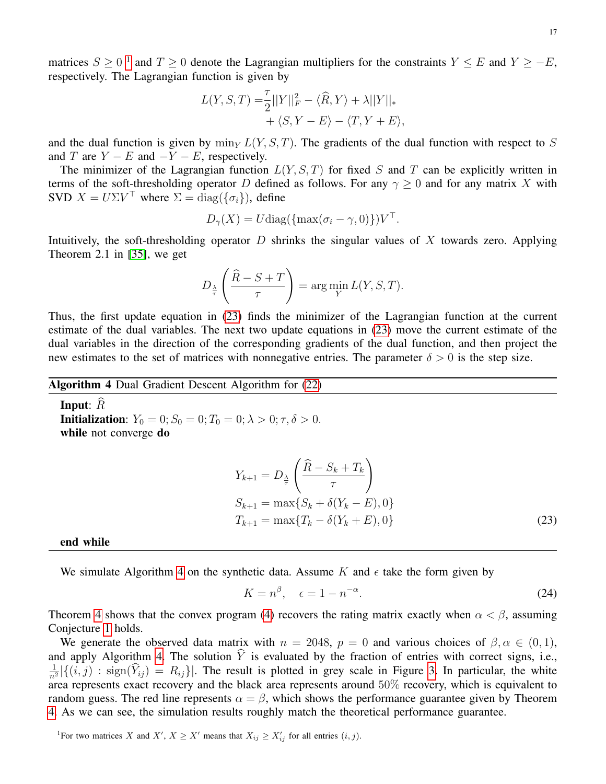matrices  $S \ge 0$ <sup>[1](#page-16-1)</sup> and  $T \ge 0$  denote the Lagrangian multipliers for the constraints  $Y \le E$  and  $Y \ge -E$ , respectively. The Lagrangian function is given by

$$
L(Y, S, T) = \frac{\tau}{2} ||Y||_F^2 - \langle \widehat{R}, Y \rangle + \lambda ||Y||_* + \langle S, Y - E \rangle - \langle T, Y + E \rangle,
$$

and the dual function is given by  $\min_Y L(Y, S, T)$ . The gradients of the dual function with respect to S and T are  $Y - E$  and  $-Y - E$ , respectively.

The minimizer of the Lagrangian function  $L(Y, S, T)$  for fixed S and T can be explicitly written in terms of the soft-thresholding operator D defined as follows. For any  $\gamma \geq 0$  and for any matrix X with SVD  $X = U\Sigma V^{\top}$  where  $\Sigma = \text{diag}(\{\sigma_i\})$ , define

$$
D_{\gamma}(X) = U \text{diag}(\{\max(\sigma_i - \gamma, 0)\})V^{\top}.
$$

Intuitively, the soft-thresholding operator  $D$  shrinks the singular values of  $X$  towards zero. Applying Theorem 2.1 in [\[35\]](#page-19-15), we get

$$
D_{\frac{\lambda}{\tau}}\left(\frac{\widehat{R}-S+T}{\tau}\right) = \arg\min_{Y} L(Y, S, T).
$$

Thus, the first update equation in [\(23\)](#page-16-2) finds the minimizer of the Lagrangian function at the current estimate of the dual variables. The next two update equations in [\(23\)](#page-16-2) move the current estimate of the dual variables in the direction of the corresponding gradients of the dual function, and then project the new estimates to the set of matrices with nonnegative entries. The parameter  $\delta > 0$  is the step size.

<span id="page-16-0"></span>Algorithm 4 Dual Gradient Descent Algorithm for [\(22\)](#page-15-3)

## **Input:**  $\widehat{R}$

**Initialization:**  $Y_0 = 0; S_0 = 0; T_0 = 0; \lambda > 0; \tau, \delta > 0.$ while not converge do

$$
Y_{k+1} = D_{\frac{\lambda}{\tau}} \left( \frac{\widehat{R} - S_k + T_k}{\tau} \right)
$$
  
\n
$$
S_{k+1} = \max \{ S_k + \delta(Y_k - E), 0 \}
$$
  
\n
$$
T_{k+1} = \max \{ T_k - \delta(Y_k + E), 0 \}
$$
\n(23)

#### end while

We simulate Algorithm [4](#page-16-0) on the synthetic data. Assume K and  $\epsilon$  take the form given by

<span id="page-16-3"></span><span id="page-16-2"></span>
$$
K = n^{\beta}, \quad \epsilon = 1 - n^{-\alpha}.
$$

Theorem [4](#page-7-4) shows that the convex program [\(4\)](#page-7-5) recovers the rating matrix exactly when  $\alpha < \beta$ , assuming Conjecture [1](#page-7-0) holds.

We generate the observed data matrix with  $n = 2048$ ,  $p = 0$  and various choices of  $\beta, \alpha \in (0, 1)$ , and apply Algorithm [4.](#page-16-0) The solution  $\hat{Y}$  is evaluated by the fraction of entries with correct signs, i.e., 1  $\frac{1}{n^2}$   $|\{(i,j) : \text{sign}(Y_{ij}) = R_{ij}\}|$ . The result is plotted in grey scale in Figure [3.](#page-17-1) In particular, the white area represents exact recovery and the black area represents around 50% recovery, which is equivalent to random guess. The red line represents  $\alpha = \beta$ , which shows the performance guarantee given by Theorem [4.](#page-7-4) As we can see, the simulation results roughly match the theoretical performance guarantee.

<span id="page-16-1"></span><sup>1</sup>For two matrices X and X',  $X \ge X'$  means that  $X_{ij} \ge X'_{ij}$  for all entries  $(i, j)$ .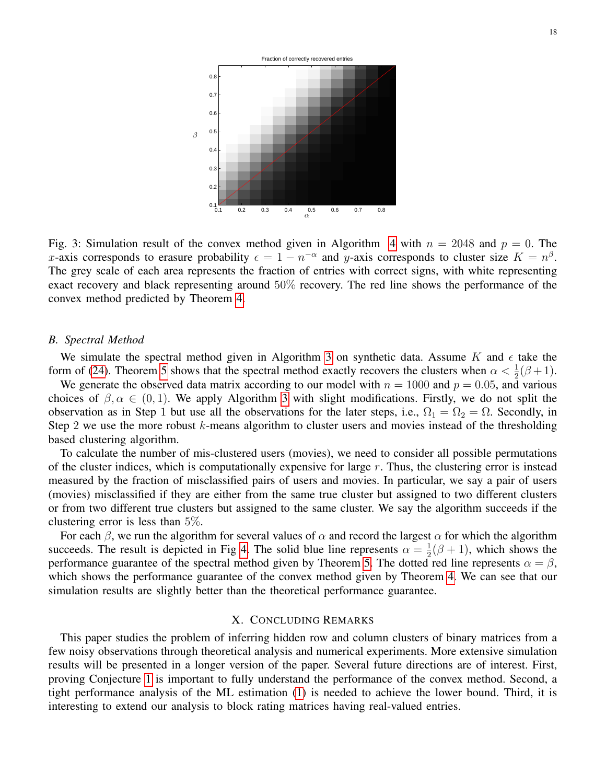<span id="page-17-1"></span>

Fig. 3: Simulation result of the convex method given in Algorithm [4](#page-16-0) with  $n = 2048$  and  $p = 0$ . The x-axis corresponds to erasure probability  $\epsilon = 1 - n^{-\alpha}$  and y-axis corresponds to cluster size  $K = n^{\beta}$ . The grey scale of each area represents the fraction of entries with correct signs, with white representing exact recovery and black representing around 50% recovery. The red line shows the performance of the convex method predicted by Theorem [4.](#page-7-4)

#### *B. Spectral Method*

We simulate the spectral method given in Algorithm [3](#page-8-1) on synthetic data. Assume K and  $\epsilon$  take the form of [\(24\)](#page-16-3). Theorem [5](#page-9-1) shows that the spectral method exactly recovers the clusters when  $\alpha < \frac{1}{2}(\beta + 1)$ .

We generate the observed data matrix according to our model with  $n = 1000$  and  $p = 0.05$ , and various choices of  $\beta, \alpha \in (0, 1)$ . We apply Algorithm [3](#page-8-1) with slight modifications. Firstly, we do not split the observation as in Step 1 but use all the observations for the later steps, i.e.,  $\Omega_1 = \Omega_2 = \Omega$ . Secondly, in Step 2 we use the more robust  $k$ -means algorithm to cluster users and movies instead of the thresholding based clustering algorithm.

To calculate the number of mis-clustered users (movies), we need to consider all possible permutations of the cluster indices, which is computationally expensive for large  $r$ . Thus, the clustering error is instead measured by the fraction of misclassified pairs of users and movies. In particular, we say a pair of users (movies) misclassified if they are either from the same true cluster but assigned to two different clusters or from two different true clusters but assigned to the same cluster. We say the algorithm succeeds if the clustering error is less than 5%.

For each  $\beta$ , we run the algorithm for several values of  $\alpha$  and record the largest  $\alpha$  for which the algorithm succeeds. The result is depicted in Fig [4.](#page-18-19) The solid blue line represents  $\alpha = \frac{1}{2}$  $\frac{1}{2}(\beta + 1)$ , which shows the performance guarantee of the spectral method given by Theorem [5.](#page-9-1) The dotted red line represents  $\alpha = \beta$ , which shows the performance guarantee of the convex method given by Theorem [4.](#page-7-4) We can see that our simulation results are slightly better than the theoretical performance guarantee.

## X. CONCLUDING REMARKS

<span id="page-17-0"></span>This paper studies the problem of inferring hidden row and column clusters of binary matrices from a few noisy observations through theoretical analysis and numerical experiments. More extensive simulation results will be presented in a longer version of the paper. Several future directions are of interest. First, proving Conjecture [1](#page-7-0) is important to fully understand the performance of the convex method. Second, a tight performance analysis of the ML estimation [\(1\)](#page-6-1) is needed to achieve the lower bound. Third, it is interesting to extend our analysis to block rating matrices having real-valued entries.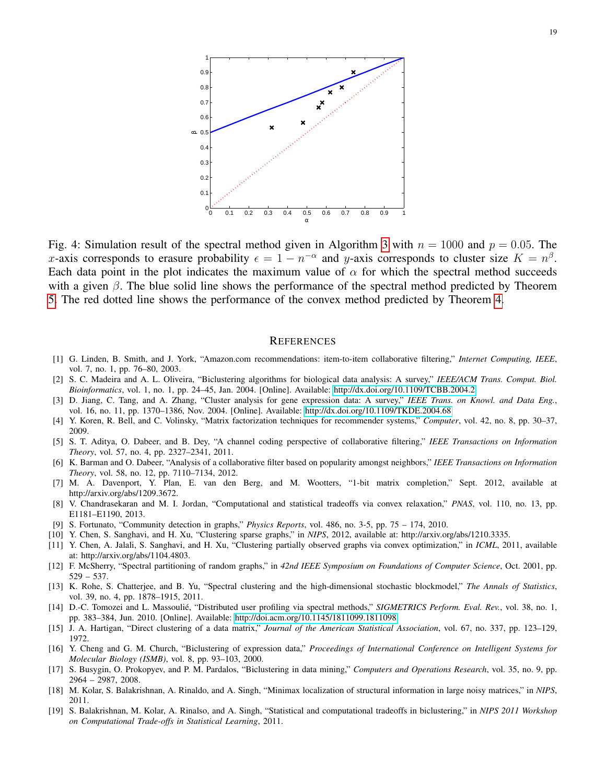<span id="page-18-19"></span>

Fig. 4: Simulation result of the spectral method given in Algorithm [3](#page-8-1) with  $n = 1000$  and  $p = 0.05$ . The x-axis corresponds to erasure probability  $\epsilon = 1 - n^{-\alpha}$  and y-axis corresponds to cluster size  $K = n^{\beta}$ . Each data point in the plot indicates the maximum value of  $\alpha$  for which the spectral method succeeds with a given  $\beta$ . The blue solid line shows the performance of the spectral method predicted by Theorem [5.](#page-9-1) The red dotted line shows the performance of the convex method predicted by Theorem [4.](#page-7-4)

#### **REFERENCES**

- <span id="page-18-0"></span>[1] G. Linden, B. Smith, and J. York, "Amazon.com recommendations: item-to-item collaborative filtering," *Internet Computing, IEEE*, vol. 7, no. 1, pp. 76–80, 2003.
- <span id="page-18-1"></span>[2] S. C. Madeira and A. L. Oliveira, "Biclustering algorithms for biological data analysis: A survey," *IEEE/ACM Trans. Comput. Biol. Bioinformatics*, vol. 1, no. 1, pp. 24–45, Jan. 2004. [Online]. Available:<http://dx.doi.org/10.1109/TCBB.2004.2>
- <span id="page-18-2"></span>[3] D. Jiang, C. Tang, and A. Zhang, "Cluster analysis for gene expression data: A survey," *IEEE Trans. on Knowl. and Data Eng.*, vol. 16, no. 11, pp. 1370–1386, Nov. 2004. [Online]. Available:<http://dx.doi.org/10.1109/TKDE.2004.68>
- <span id="page-18-3"></span>[4] Y. Koren, R. Bell, and C. Volinsky, "Matrix factorization techniques for recommender systems," *Computer*, vol. 42, no. 8, pp. 30–37, 2009.
- <span id="page-18-4"></span>[5] S. T. Aditya, O. Dabeer, and B. Dey, "A channel coding perspective of collaborative filtering," *IEEE Transactions on Information Theory*, vol. 57, no. 4, pp. 2327–2341, 2011.
- <span id="page-18-5"></span>[6] K. Barman and O. Dabeer, "Analysis of a collaborative filter based on popularity amongst neighbors," *IEEE Transactions on Information Theory*, vol. 58, no. 12, pp. 7110–7134, 2012.
- <span id="page-18-6"></span>[7] M. A. Davenport, Y. Plan, E. van den Berg, and M. Wootters, "1-bit matrix completion," Sept. 2012, available at http://arxiv.org/abs/1209.3672.
- <span id="page-18-7"></span>[8] V. Chandrasekaran and M. I. Jordan, "Computational and statistical tradeoffs via convex relaxation," *PNAS*, vol. 110, no. 13, pp. E1181–E1190, 2013.
- <span id="page-18-8"></span>[9] S. Fortunato, "Community detection in graphs," *Physics Reports*, vol. 486, no. 3-5, pp. 75 – 174, 2010.
- <span id="page-18-9"></span>[10] Y. Chen, S. Sanghavi, and H. Xu, "Clustering sparse graphs," in *NIPS*, 2012, available at: http://arxiv.org/abs/1210.3335.
- <span id="page-18-10"></span>[11] Y. Chen, A. Jalali, S. Sanghavi, and H. Xu, "Clustering partially observed graphs via convex optimization," in *ICML*, 2011, available at: http://arxiv.org/abs/1104.4803.
- <span id="page-18-11"></span>[12] F. McSherry, "Spectral partitioning of random graphs," in *42nd IEEE Symposium on Foundations of Computer Science*, Oct. 2001, pp. 529 – 537.
- <span id="page-18-12"></span>[13] K. Rohe, S. Chatterjee, and B. Yu, "Spectral clustering and the high-dimensional stochastic blockmodel," *The Annals of Statistics*, vol. 39, no. 4, pp. 1878–1915, 2011.
- <span id="page-18-13"></span>[14] D.-C. Tomozei and L. Massoulié, "Distributed user profiling via spectral methods," SIGMETRICS Perform. Eval. Rev., vol. 38, no. 1, pp. 383–384, Jun. 2010. [Online]. Available:<http://doi.acm.org/10.1145/1811099.1811098>
- <span id="page-18-14"></span>[15] J. A. Hartigan, "Direct clustering of a data matrix," *Journal of the American Statistical Association*, vol. 67, no. 337, pp. 123–129, 1972.
- <span id="page-18-15"></span>[16] Y. Cheng and G. M. Church, "Biclustering of expression data," *Proceedings of International Conference on Intelligent Systems for Molecular Biology (ISMB)*, vol. 8, pp. 93–103, 2000.
- <span id="page-18-16"></span>[17] S. Busygin, O. Prokopyev, and P. M. Pardalos, "Biclustering in data mining," *Computers and Operations Research*, vol. 35, no. 9, pp. 2964 – 2987, 2008.
- <span id="page-18-17"></span>[18] M. Kolar, S. Balakrishnan, A. Rinaldo, and A. Singh, "Minimax localization of structural information in large noisy matrices," in *NIPS*, 2011.
- <span id="page-18-18"></span>[19] S. Balakrishnan, M. Kolar, A. Rinalso, and A. Singh, "Statistical and computational tradeoffs in biclustering," in *NIPS 2011 Workshop on Computational Trade-offs in Statistical Learning*, 2011.